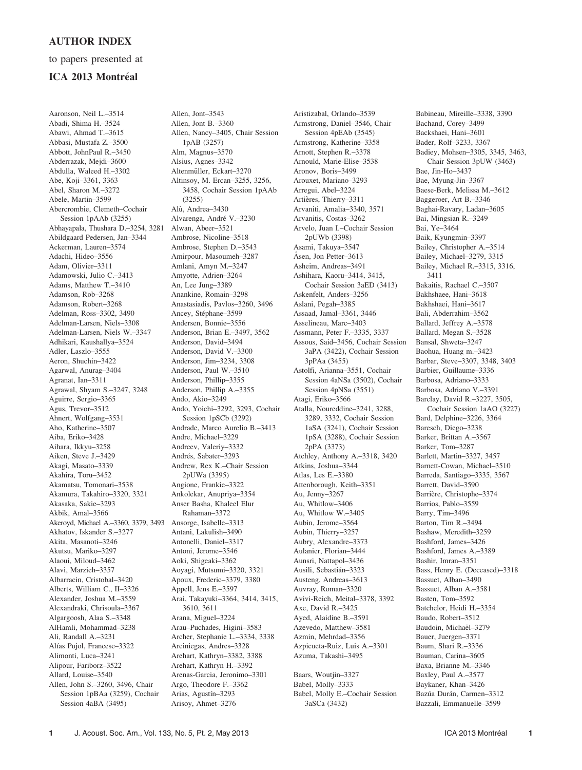## AUTHOR INDEX

## to papers presented at

## ICA 2013 Montréal

Aaronson, Neil L.–3514 Abadi, Shima H.–3524 Abawi, Ahmad T.–3615 Abbasi, Mustafa Z.–3500 Abbott, JohnPaul R.–3450 Abderrazak, Mejdi–3600 Abdulla, Waleed H.–3302 Abe, Koji–3361, 3363 Abel, Sharon M.–3272 Abele, Martin–3599 Abercrombie, Clemeth–Cochair Session 1pAAb (3255) Abhayapala, Thushara D.–3254, 3281 Abildgaard Pedersen, Jan–3344 Ackerman, Lauren–3574 Adachi, Hideo–3556 Adam, Olivier–3311 Adamowski, Julio C.–3413 Adams, Matthew T.–3410 Adamson, Rob–3268 Adamson, Robert–3268 Adelman, Ross–3302, 3490 Adelman-Larsen, Niels–3308 Adelman-Larsen, Niels W.–3347 Adhikari, Kaushallya–3524 Adler, Laszlo–3555 Aeron, Shuchin–3422 Agarwal, Anurag–3404 Agranat, Ian–3311 Agrawal, Shyam S.–3247, 3248 Aguirre, Sergio–3365 Agus, Trevor–3512 Ahnert, Wolfgang–3531 Aho, Katherine–3507 Aiba, Eriko–3428 Aihara, Ikkyu–3258 Aiken, Steve J.–3429 Akagi, Masato–3339 Akahira, Toru–3452 Akamatsu, Tomonari–3538 Akamura, Takahiro–3320, 3321 Akasaka, Sakie–3293 Akbik, Amal–3566 Akeroyd, Michael A.–3360, 3379, 3493 Akhatov, Iskander S.–3277 Akita, Masanoti–3246 Akutsu, Mariko–3297 Alaoui, Miloud–3462 Alavi, Marzieh–3357 Albarracin, Cristobal–3420 Alberts, William C., II–3326 Alexander, Joshua M.–3559 Alexandraki, Chrisoula–3367 Algargoosh, Alaa S.–3348 AlHamli, Mohammad–3238 Ali, Randall A.–3231 Alías Pujol, Francesc-3322 Alimonti, Luca–3241 Alipour, Fariborz–3522 Allard, Louise–3540 Allen, John S.–3260, 3496, Chair Session 1pBAa (3259), Cochair Session 4aBA (3495)

Allen, Jont–3543 Allen, Jont B.–3360 Allen, Nancy–3405, Chair Session 1pAB (3257) Alm, Magnus–3570 Alsius, Agnes–3342 Altenmüller, Eckart-3270 Altinsoy, M. Ercan–3255, 3256, 3458, Cochair Session 1pAAb (3255) Alù, Andrea–3430 Alvarenga, André V.–3230 Alwan, Abeer–3521 Ambrose, Nicoline–3518 Ambrose, Stephen D.–3543 Amirpour, Masoumeh–3287 Amlani, Amyn M.–3247 Amyotte, Adrien–3264 An, Lee Jung–3389 Anankine, Romain–3298 Anastasiadis, Pavlos–3260, 3496 Ancey, Stéphane–3599 Andersen, Bonnie–3556 Anderson, Brian E.–3497, 3562 Anderson, David–3494 Anderson, David V.–3300 Anderson, Jim–3234, 3308 Anderson, Paul W.–3510 Anderson, Phillip–3355 Anderson, Phillip A.–3355 Ando, Akio–3249 Ando, Yoichi–3292, 3293, Cochair Session 1pSCb (3292) Andrade, Marco Aurelio B.–3413 Andre, Michael–3229 Andreev, Valeriy–3332 Andrés, Sabater-3293 Andrew, Rex K.–Chair Session 2pUWa (3395) Angione, Frankie–3322 Ankolekar, Anupriya–3354 Anser Basha, Khaleel Elur Rahaman–3372 Ansorge, Isabelle–3313 Antani, Lakulish–3490 Antonelli, Daniel–3317 Antoni, Jerome–3546 Aoki, Shigeaki–3362 Aoyagi, Mutsumi–3320, 3321 Apoux, Frederic–3379, 3380 Appell, Jens E.–3597 Arai, Takayuki–3364, 3414, 3415, 3610, 3611 Arana, Miguel–3224 Arau–Puchades, Higini–3583 Archer, Stephanie L.–3334, 3338 Arciniegas, Andres–3328 Arehart, Kathryn–3382, 3388 Arehart, Kathryn H.–3392 Arenas-Garcia, Jeronimo–3301 Argo, Theodore F.–3362 Arias, Agustín-3293 Arisoy, Ahmet–3276

Aristizabal, Orlando–3539 Armstrong, Daniel–3546, Chair Session 4pEAb (3545) Armstrong, Katherine–3358 Arnott, Stephen R.–3378 Arnould, Marie-Elise–3538 Aronov, Boris–3499 Arouxet, Mariano–3293 Arregui, Abel–3224 Artières, Thierry–3311 Arvaniti, Amalia–3340, 3571 Arvanitis, Costas–3262 Arvelo, Juan I.–Cochair Session 2pUWb (3398) Asami, Takuya–3547 Åsen, Jon Petter-3613 Asheim, Andreas–3491 Ashihara, Kaoru–3414, 3415, Cochair Session 3aED (3413) Askenfelt, Anders–3256 Aslani, Pegah–3385 Assaad, Jamal–3361, 3446 Asselineau, Marc–3403 Assmann, Peter F.–3335, 3337 Assous, Said–3456, Cochair Session 3aPA (3422), Cochair Session 3pPAa (3455) Astolfi, Arianna–3551, Cochair Session 4aNSa (3502), Cochair Session 4pNSa (3551) Atagi, Eriko–3566 Atalla, Noureddine–3241, 3288, 3289, 3332, Cochair Session 1aSA (3241), Cochair Session 1pSA (3288), Cochair Session 2pPA (3373) Atchley, Anthony A.–3318, 3420 Atkins, Joshua–3344 Atlas, Les E.–3380 Attenborough, Keith–3351 Au, Jenny–3267 Au, Whitlow–3406 Au, Whitlow W.–3405 Aubin, Jerome–3564 Aubin, Thierry–3257 Aubry, Alexandre–3373 Aulanier, Florian–3444 Aunsri, Nattapol–3436 Ausili, Sebastián-3323 Austeng, Andreas–3613 Auvray, Roman–3320 Avivi-Reich, Meital–3378, 3392 Axe, David R.–3425 Ayed, Alaidine B.–3591 Azevedo, Matthew–3581 Azmin, Mehrdad–3356 Azpicueta-Ruiz, Luis A.–3301 Azuma, Takashi–3495 Baars, Woutjin–3327

Babel, Molly–3333 Babel, Molly E.–Cochair Session 3aSCa (3432)

Babineau, Mireille–3338, 3390 Bachand, Corey–3499 Backshaei, Hani–3601 Bader, Rolf–3233, 3367 Badiey, Mohsen–3305, 3345, 3463, Chair Session 3pUW (3463) Bae, Jin-Ho–3437 Bae, Myung-Jin–3367 Baese-Berk, Melissa M.–3612 Baggeroer, Art B.–3346 Baghai-Ravary, Ladan–3605 Bai, Mingsian R.–3249 Bai, Ye–3464 Baik, Kyungmin–3397 Bailey, Christopher A.–3514 Bailey, Michael–3279, 3315 Bailey, Michael R.–3315, 3316, 3411 Bakaitis, Rachael C.–3507 Bakhshaee, Hani–3618 Bakhshaei, Hani–3617 Bali, Abderrahim–3562 Ballard, Jeffrey A.–3578 Ballard, Megan S.–3528 Bansal, Shweta–3247 Baohua, Huang m.–3423 Barbar, Steve–3307, 3348, 3403 Barbier, Guillaume–3336 Barbosa, Adriano–3333 Barbosa, Adriano V.–3391 Barclay, David R.–3227, 3505, Cochair Session 1aAO (3227) Bard, Delphine–3226, 3364 Baresch, Diego–3238 Barker, Brittan A.–3567 Barker, Tom–3287 Barlett, Martin–3327, 3457 Barnett-Cowan, Michael–3510 Barreda, Santiago–3335, 3567 Barrett, David–3590 Barrière, Christophe–3374 Barrios, Pablo–3559 Barry, Tim–3496 Barton, Tim R.–3494 Bashaw, Meredith–3259 Bashford, James–3426 Bashford, James A.–3389 Bashir, Imran–3351 Bass, Henry E. (Deceased)–3318 Bassuet, Alban–3490 Bassuet, Alban A.–3581 Basten, Tom–3592 Batchelor, Heidi H.–3354 Baudo, Robert–3512 Baudoin, Michaël-3279 Bauer, Juergen–3371 Baum, Shari R.–3336 Bauman, Carina–3605 Baxa, Brianne M.–3346 Baxley, Paul A.–3577 Baykaner, Khan–3426 Bazúa Durán, Carmen-3312 Bazzali, Emmanuelle–3599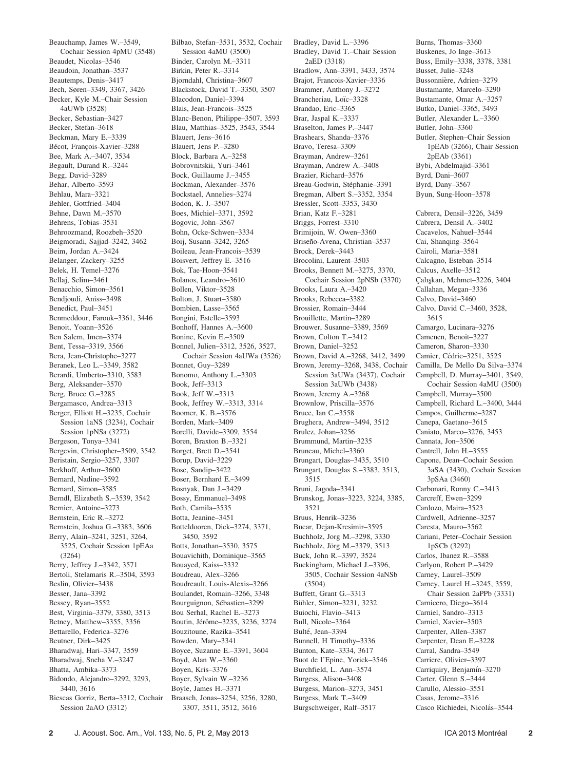Beauchamp, James W.–3549, Cochair Session 4pMU (3548) Beaudet, Nicolas–3546 Beaudoin, Jonathan–3537 Beautemps, Denis–3417 Bech, Søren–3349, 3367, 3426 Becker, Kyle M.–Chair Session 4aUWb (3528) Becker, Sebastian–3427 Becker, Stefan–3618 Beckman, Mary E.–3339 Bécot, François-Xavier-3288 Bee, Mark A.–3407, 3534 Begault, Durand R.–3244 Begg, David–3289 Behar, Alberto–3593 Behlau, Mara–3321 Behler, Gottfried–3404 Behne, Dawn M.–3570 Behrens, Tobias–3531 Behroozmand, Roozbeh–3520 Beigmoradi, Sajjad–3242, 3462 Beim, Jordan A.–3424 Belanger, Zackery–3255 Belek, H. Temel–3276 Bellaj, Selim–3461 Benacchio, Simon–3561 Bendjoudi, Aniss–3498 Benedict, Paul–3451 Benmeddour, Farouk–3361, 3446 Benoit, Yoann–3526 Ben Salem, Imen–3374 Bent, Tessa–3319, 3566 Bera, Jean-Christophe–3277 Beranek, Leo L.–3349, 3582 Berardi, Umberto–3310, 3583 Berg, Aleksander–3570 Berg, Bruce G.–3285 Bergamasco, Andrea–3313 Berger, Elliott H.–3235, Cochair Session 1aNS (3234), Cochair Session 1pNSa (3272) Bergeson, Tonya–3341 Bergevin, Christopher–3509, 3542 Beristain, Sergio–3257, 3307 Berkhoff, Arthur–3600 Bernard, Nadine–3592 Bernard, Simon–3585 Berndl, Elizabeth S.–3539, 3542 Bernier, Antoine–3273 Bernstein, Eric R.–3272 Bernstein, Joshua G.–3383, 3606 Berry, Alain–3241, 3251, 3264, 3525, Cochair Session 1pEAa (3264) Berry, Jeffrey J.–3342, 3571 Bertoli, Stelamaris R.–3504, 3593 Beslin, Olivier–3438 Besser, Jana–3392 Bessey, Ryan–3552 Best, Virginia–3379, 3380, 3513 Betney, Matthew–3355, 3356 Bettarello, Federica–3276 Beutner, Dirk–3425 Bharadwaj, Hari–3347, 3559 Bharadwaj, Sneha V.–3247 Bhatta, Ambika–3373 Bidondo, Alejandro–3292, 3293, 3440, 3616 Biescas Gorriz, Berta–3312, Cochair Session 2aAO (3312)

Bilbao, Stefan–3531, 3532, Cochair Session 4aMU (3500) Binder, Carolyn M.–3311 Birkin, Peter R.–3314 Bjorndahl, Christina–3607 Blackstock, David T.–3350, 3507 Blacodon, Daniel–3394 Blais, Jean-Francois–3525 Blanc-Benon, Philippe–3507, 3593 Blau, Matthias–3525, 3543, 3544 Blauert, Jens–3616 Blauert, Jens P.–3280 Block, Barbara A.–3258 Bobrovnitskii, Yuri–3461 Bock, Guillaume J.–3455 Bockman, Alexander–3576 Bockstael, Annelies–3274 Bodon, K. J.–3507 Boes, Michiel–3371, 3592 Bogovic, John–3567 Bohn, Ocke-Schwen–3334 Boij, Susann–3242, 3265 Boileau, Jean-Francois–3539 Boisvert, Jeffrey E.–3516 Bok, Tae-Hoon–3541 Bolanos, Leandro–3610 Bollen, Viktor–3528 Bolton, J. Stuart–3580 Bombien, Lasse–3565 Bongini, Estelle–3593 Bonhoff, Hannes A.–3600 Bonine, Kevin E.–3509 Bonnel, Julien–3312, 3526, 3527, Cochair Session 4aUWa (3526) Bonnet, Guy–3289 Bonomo, Anthony L.–3303 Book, Jeff–3313 Book, Jeff W.–3313 Book, Jeffrey W.–3313, 3314 Boomer, K. B.–3576 Borden, Mark–3409 Borelli, Davide–3309, 3554 Boren, Braxton B.–3321 Borget, Brett D.–3541 Borup, David–3229 Bose, Sandip–3422 Boser, Bernhard E.–3499 Bosnyak, Dan J.–3429 Bossy, Emmanuel–3498 Both, Camila–3535 Botta, Jeanine–3451 Botteldooren, Dick–3274, 3371, 3450, 3592 Botts, Jonathan–3530, 3575 Bouavichith, Dominique–3565 Bouayed, Kaiss–3332 Boudreau, Alex–3266 Boudreault, Louis-Alexis–3266 Boulandet, Romain–3266, 3348 Bourguignon, Sébastien-3299 Bou Serhal, Rachel E.–3273 Boutin, Jérôme–3235, 3236, 3274 Bouzitoune, Razika–3541 Bowden, Mary–3341 Boyce, Suzanne E.–3391, 3604 Boyd, Alan W.–3360 Boyen, Kris–3376 Boyer, Sylvain W.–3236 Boyle, James H.–3371 Braasch, Jonas–3254, 3256, 3280, 3307, 3511, 3512, 3616

Bradley, David L.–3396 Bradley, David T.–Chair Session 2aED (3318) Bradlow, Ann–3391, 3433, 3574 Brajot, Francois-Xavier–3336 Brammer, Anthony J.–3272 Brancheriau, Loïc-3328 Brandao, Eric–3365 Brar, Jaspal K.–3337 Braselton, James P.–3447 Brashears, Shanda–3376 Bravo, Teresa–3309 Brayman, Andrew–3261 Brayman, Andrew A.–3408 Brazier, Richard–3576 Breau-Godwin, Stéphanie–3391 Bregman, Albert S.–3352, 3354 Bressler, Scott–3353, 3430 Brian, Katz F.–3281 Briggs, Forrest–3310 Brimijoin, W. Owen–3360 Briseño-Avena, Christian–3537 Brock, Derek–3443 Brocolini, Laurent–3503 Brooks, Bennett M.–3275, 3370, Cochair Session 2pNSb (3370) Brooks, Laura A.–3420 Brooks, Rebecca–3382 Brossier, Romain–3444 Brouillette, Martin–3289 Brouwer, Susanne–3389, 3569 Brown, Colton T.–3412 Brown, Daniel–3252 Brown, David A.–3268, 3412, 3499 Brown, Jeremy–3268, 3438, Cochair Session 3aUWa (3437), Cochair Session 3aUWb (3438) Brown, Jeremy A.–3268 Brownlow, Priscilla–3576 Bruce, Ian C.–3558 Brughera, Andrew–3494, 3512 Brulez, Johan–3256 Brummund, Martin–3235 Bruneau, Michel–3360 Brungart, Douglas–3435, 3510 Brungart, Douglas S.–3383, 3513, 3515 Bruni, Jagoda–3341 Brunskog, Jonas–3223, 3224, 3385, 3521 Bruus, Henrik–3236 Bucar, Dejan-Kresimir–3595 Buchholz, Jorg M.–3298, 3330 Buchholz, Jörg M.-3379, 3513 Buck, John R.–3397, 3524 Buckingham, Michael J.–3396, 3505, Cochair Session 4aNSb (3504) Buffett, Grant G.–3313 Bühler, Simon-3231, 3232 Buiochi, Flavio–3413 Bull, Nicole–3364 Bulté, Jean-3394 Bunnell, H Timothy–3336 Bunton, Kate–3334, 3617 Buot de l'Epine, Yorick–3546 Burchfield, L. Ann–3574 Burgess, Alison–3408 Burgess, Marion–3273, 3451 Burgess, Mark T.–3409 Burgschweiger, Ralf–3517

Burns, Thomas–3360 Buskenes, Jo Inge–3613 Buss, Emily–3338, 3378, 3381 Busset, Julie–3248 Bussonnière, Adrien-3279 Bustamante, Marcelo–3290 Bustamante, Omar A.–3257 Butko, Daniel–3365, 3493 Butler, Alexander L.–3360 Butler, John–3360 Butler, Stephen–Chair Session 1pEAb (3266), Chair Session 2pEAb (3361) Bybi, Abdelmajid–3361 Byrd, Dani–3607 Byrd, Dany–3567 Byun, Sung-Hoon–3578 Cabrera, Densil–3226, 3459 Cabrera, Densil A.–3402 Cacavelos, Nahuel–3544 Cai, Shanqing–3564 Cairoli, Maria–3581 Calcagno, Esteban–3514 Calcus, Axelle–3512 Çalışkan, Mehmet-3226, 3404 Callahan, Megan–3336 Calvo, David–3460 Calvo, David C.–3460, 3528, 3615 Camargo, Lucinara–3276 Camenen, Benoit–3227 Cameron, Sharon–3330 Camier, Cédric-3251, 3525 Camilla, De Mello Da Silva–3374 Campbell, D. Murray–3401, 3549, Cochair Session 4aMU (3500) Campbell, Murray–3500 Campbell, Richard L.–3400, 3444 Campos, Guilherme–3287 Canepa, Gaetano–3615 Caniato, Marco–3276, 3453 Cannata, Jon–3506 Cantrell, John H.–3555 Capone, Dean–Cochair Session 3aSA (3430), Cochair Session 3pSAa (3460) Carbonari, Ronny C.–3413 Carcreff, Ewen–3299 Cardozo, Maira–3523 Cardwell, Adrienne–3257 Caresta, Mauro–3562 Cariani, Peter–Cochair Session 1pSCb (3292) Carlos, Ibanez R.–3588 Carlyon, Robert P.–3429 Carney, Laurel–3509 Carney, Laurel H.–3245, 3559, Chair Session 2aPPb (3331) Carnicero, Diego–3614 Carniel, Sandro–3313 Carniel, Xavier–3503 Carpenter, Allen–3387 Carpenter, Dean E.–3228 Carral, Sandra–3549 Carriere, Olivier–3397 Carriquiry, Benjamín-3270 Carter, Glenn S.–3444 Carullo, Alessio–3551 Casas, Jerome–3316

Casco Richiedei, Nicolás-3544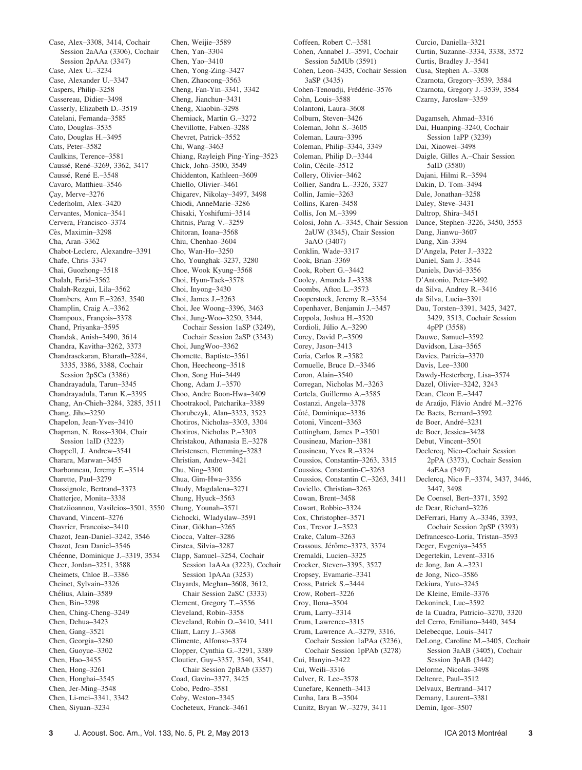Case, Alex–3308, 3414, Cochair Session 2aAAa (3306), Cochair Session 2pAAa (3347) Case, Alex U.–3234 Case, Alexander U.–3347 Caspers, Philip–3258 Cassereau, Didier–3498 Casserly, Elizabeth D.–3519 Catelani, Fernanda–3585 Cato, Douglas–3535 Cato, Douglas H.–3495 Cats, Peter–3582 Caulkins, Terence–3581 Caussé, René-3269, 3362, 3417 Caussé, René E.–3548 Cavaro, Matthieu–3546 Çay, Merve-3276 Cederholm, Alex–3420 Cervantes, Monica–3541 Cervera, Francisco–3374 Cès, Maximin–3298 Cha, Aran–3362 Chabot-Leclerc, Alexandre–3391 Chafe, Chris–3347 Chai, Guozhong–3518 Chalah, Farid–3562 Chalah-Rezgui, Lila–3562 Chambers, Ann F.–3263, 3540 Champlin, Craig A.–3362 Champoux, François-3378 Chand, Priyanka–3595 Chandak, Anish–3490, 3614 Chandra, Kavitha–3262, 3373 Chandrasekaran, Bharath–3284, 3335, 3386, 3388, Cochair Session 2pSCa (3386) Chandrayadula, Tarun–3345 Chandrayadula, Tarun K.–3395 Chang, An-Chieh–3284, 3285, 3511 Chang, Jiho–3250 Chapelon, Jean-Yves–3410 Chapman, N. Ross–3304, Chair Session 1aID (3223) Chappell, J. Andrew–3541 Charara, Marwan–3455 Charbonneau, Jeremy E.–3514 Charette, Paul–3279 Chassignole, Bertrand–3373 Chatterjee, Monita–3338 Chatziioannou, Vasileios–3501, 3550 Chavand, Vincent–3276 Chavrier, Francoise–3410 Chazot, Jean-Daniel–3242, 3546 Chazot, Jean Daniel–3546 Chéenne, Dominique J.–3319, 3534 Cheer, Jordan–3251, 3588 Cheimets, Chloe B.–3386 Cheinet, Sylvain–3326 Chélius, Alain-3589 Chen, Bin–3298 Chen, Ching-Cheng–3249 Chen, Dehua–3423 Chen, Gang–3521 Chen, Georgia–3280 Chen, Guoyue–3302 Chen, Hao–3455 Chen, Hong–3261 Chen, Honghai–3545 Chen, Jer-Ming–3548 Chen, Li-mei–3341, 3342 Chen, Siyuan–3234

Chen, Weijie–3589 Chen, Yan–3304 Chen, Yao–3410 Chen, Yong-Zing–3427 Chen, Zhaocong–3563 Cheng, Fan-Yin–3341, 3342 Cheng, Jianchun–3431 Cheng, Xiaobin–3298 Cherniack, Martin G.–3272 Chevillotte, Fabien–3288 Chevret, Patrick–3552 Chi, Wang–3463 Chiang, Rayleigh Ping-Ying–3523 Chick, John–3500, 3549 Chiddenton, Kathleen–3609 Chiello, Olivier–3461 Chigarev, Nikolay–3497, 3498 Chiodi, AnneMarie–3286 Chisaki, Yoshifumi–3514 Chitnis, Parag V.–3259 Chitoran, Ioana–3568 Chiu, Chenhao–3604 Cho, Wan-Ho–3250 Cho, Younghak–3237, 3280 Choe, Wook Kyung–3568 Choi, Hyun-Taek–3578 Choi, Inyong–3430 Choi, James J.–3263 Choi, Jee Woong–3396, 3463 Choi, Jung-Woo–3250, 3344, Cochair Session 1aSP (3249), Cochair Session 2aSP (3343) Choi, JungWoo–3362 Chomette, Baptiste–3561 Chon, Heecheong–3518 Chon, Song Hui–3449 Chong, Adam J.–3570 Choo, Andre Boon-Hwa–3409 Chootrakool, Patcharika–3389 Chorubczyk, Alan–3323, 3523 Chotiros, Nicholas–3303, 3304 Chotiros, Nicholas P.–3303 Christakou, Athanasia E.–3278 Christensen, Flemming–3283 Christian, Andrew–3421 Chu, Ning–3300 Chua, Gim-Hwa–3356 Chudy, Magdalena–3271 Chung, Hyuck–3563 Chung, Younah–3571 Cichocki, Wladyslaw–3591 Cinar, Gökhan–3265 Ciocca, Valter–3286 Cirstea, Silvia–3287 Clapp, Samuel–3254, Cochair Session 1aAAa (3223), Cochair Session 1pAAa (3253) Clayards, Meghan–3608, 3612, Chair Session 2aSC (3333) Clement, Gregory T.–3556 Cleveland, Robin–3358 Cleveland, Robin O.–3410, 3411 Cliatt, Larry J.–3368 Climente, Alfonso–3374 Clopper, Cynthia G.–3291, 3389 Cloutier, Guy–3357, 3540, 3541, Chair Session 2pBAb (3357) Coad, Gavin–3377, 3425 Cobo, Pedro–3581 Coby, Weston–3345 Cocheteux, Franck–3461

Coffeen, Robert C.–3581 Cohen, Annabel J.–3591, Cochair Session 5aMUb (3591) Cohen, Leon–3435, Cochair Session 3aSP (3435) Cohen-Tenoudji, Frédéric-3576 Cohn, Louis–3588 Colantoni, Laura–3608 Colburn, Steven–3426 Coleman, John S.–3605 Coleman, Laura–3396 Coleman, Philip–3344, 3349 Coleman, Philip D.–3344 Colin, Cécile–3512 Collery, Olivier–3462 Collier, Sandra L.–3326, 3327 Collin, Jamie–3263 Collins, Karen–3458 Collis, Jon M.–3399 Colosi, John A.–3345, Chair Session 2aUW (3345), Chair Session 3aAO (3407) Conklin, Wade–3317 Cook, Brian–3369 Cook, Robert G.–3442 Cooley, Amanda J.–3338 Coombs, Afton L.–3573 Cooperstock, Jeremy R.–3354 Copenhaver, Benjamin J.–3457 Coppola, Joshua H.–3520 Cordioli, Júlio A.–3290 Corey, David P.–3509 Corey, Jason–3413 Coria, Carlos R.–3582 Cornuelle, Bruce D.–3346 Coron, Alain–3540 Corregan, Nicholas M.–3263 Cortela, Guillermo A.–3585 Costanzi, Angela–3378 Côté, Dominique-3336 Cotoni, Vincent–3363 Cottingham, James P.–3501 Cousineau, Marion–3381 Cousineau, Yves R.–3324 Coussios, Constantin–3263, 3315 Coussios, Constantin-C–3263 Coussios, Constantin C.–3263, 3411 Coviello, Christian–3263 Cowan, Brent–3458 Cowart, Robbie–3324 Cox, Christopher–3571 Cox, Trevor J.–3523 Crake, Calum–3263 Crassous, Jérôme–3373, 3374 Cremaldi, Lucien–3325 Crocker, Steven–3395, 3527 Cropsey, Evamarie–3341 Cross, Patrick S.–3444 Crow, Robert–3226 Croy, Ilona–3504 Crum, Larry–3314 Crum, Lawrence–3315 Crum, Lawrence A.–3279, 3316, Cochair Session 1aPAa (3236), Cochair Session 1pPAb (3278) Cui, Hanyin–3422 Cui, Weili–3316 Culver, R. Lee–3578 Cunefare, Kenneth–3413 Cunha, Iara B.–3504 Cunitz, Bryan W.–3279, 3411

Curcio, Daniella–3321 Curtin, Suzanne–3334, 3338, 3572 Curtis, Bradley J.–3541 Cusa, Stephen A.–3308 Czarnota, Gregory–3539, 3584 Czarnota, Gregory J.–3539, 3584 Czarny, Jaroslaw–3359 Dagamseh, Ahmad–3316 Dai, Huanping–3240, Cochair Session 1aPP (3239) Dai, Xiaowei–3498 Daigle, Gilles A.–Chair Session 5aID (3580) Dajani, Hilmi R.–3594 Dakin, D. Tom–3494 Dale, Jonathan–3258 Daley, Steve–3431 Daltrop, Shira–3451 Dance, Stephen–3226, 3450, 3553 Dang, Jianwu–3607 Dang, Xin–3394 D'Angela, Peter J.–3322 Daniel, Sam J.–3544 Daniels, David–3356 D'Antonio, Peter–3492 da Silva, Andrey R.–3416 da Silva, Lucia–3391 Dau, Torsten–3391, 3425, 3427, 3429, 3513, Cochair Session 4pPP (3558) Dauwe, Samuel–3592 Davidson, Lisa–3565 Davies, Patricia–3370 Davis, Lee–3300 Dawdy-Hesterberg, Lisa–3574 Dazel, Olivier–3242, 3243 Dean, Cleon E.–3447 de Araújo, Flávio André M.–3276 De Baets, Bernard–3592 de Boer, André-3231 de Boer, Jessica–3428 Debut, Vincent–3501 Declercq, Nico–Cochair Session 2pPA (3373), Cochair Session 4aEAa (3497) Declercq, Nico F.–3374, 3437, 3446, 3447, 3498 De Coensel, Bert–3371, 3592 de Dear, Richard–3226 DeFerrari, Harry A.–3346, 3393, Cochair Session 2pSP (3393) Defrancesco-Loria, Tristan–3593 Deger, Evgeniya–3455 Degertekin, Levent–3316 de Jong, Jan A.–3231 de Jong, Nico–3586 Dekiura, Yuto–3245 De Kleine, Emile–3376 Dekoninck, Luc–3592 de la Cuadra, Patricio–3270, 3320 del Cerro, Emiliano–3440, 3454 Delebecque, Louis–3417 DeLong, Caroline M.–3405, Cochair Session 3aAB (3405), Cochair Session 3pAB (3442) Delorme, Nicolas–3498 Deltenre, Paul–3512 Delvaux, Bertrand–3417 Demany, Laurent–3381

Demin, Igor–3507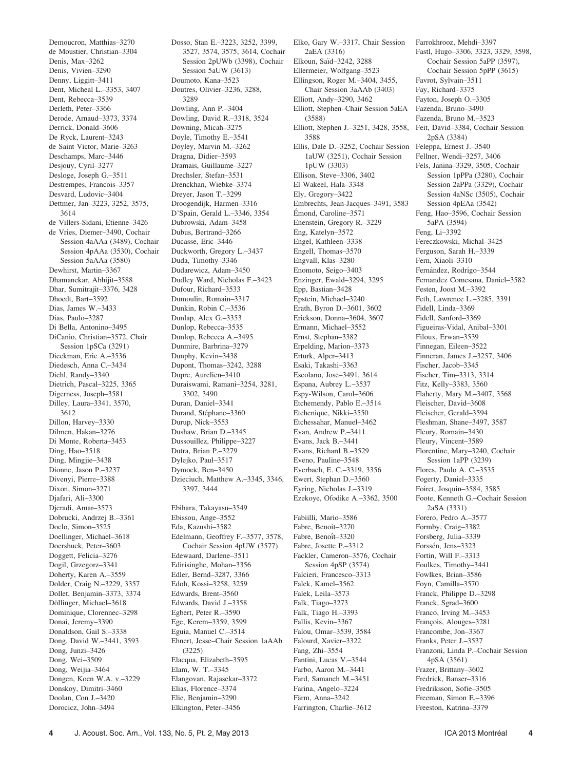Demoucron, Matthias–3270 de Moustier, Christian–3304 Denis, Max–3262 Denis, Vivien–3290 Denny, Liggitt–3411 Dent, Micheal L.–3353, 3407 Dent, Rebecca–3539 Derleth, Peter–3366 Derode, Arnaud–3373, 3374 Derrick, Donald–3606 De Ryck, Laurent–3243 de Saint Victor, Marie–3263 Deschamps, Marc–3446 Desjouy, Cyril–3277 Desloge, Joseph G.–3511 Destrempes, Francois–3357 Desvard, Ludovic–3404 Dettmer, Jan–3223, 3252, 3575, 3614 de Villers-Sidani, Etienne–3426 de Vries, Diemer–3490, Cochair Session 4aAAa (3489), Cochair Session 4pAAa (3530), Cochair Session 5aAAa (3580) Dewhirst, Martin–3367 Dhamanekar, Abhijit–3588 Dhar, Sumitrajit–3376, 3428 Dhoedt, Bart–3592 Dias, James W.–3433 Dias, Paulo–3287 Di Bella, Antonino–3495 DiCanio, Christian–3572, Chair Session 1pSCa (3291) Dieckman, Eric A.–3536 Diedesch, Anna C.–3434 Diehl, Randy–3340 Dietrich, Pascal–3225, 3365 Digerness, Joseph–3581 Dilley, Laura–3341, 3570, 3612 Dillon, Harvey–3330 Dilmen, Hakan–3276 Di Monte, Roberta–3453 Ding, Hao–3518 Ding, Mingjie–3438 Dionne, Jason P.–3237 Divenyi, Pierre–3388 Dixon, Simon–3271 Djafari, Ali–3300 Djeradi, Amar–3573 Dobrucki, Andrzej B.–3361 Doclo, Simon–3525 Doellinger, Michael–3618 Doershuck, Peter–3603 Doggett, Felicia–3276 Dogil, Grzegorz–3341 Doherty, Karen A.–3559 Dolder, Craig N.–3229, 3357 Dollet, Benjamin–3373, 3374 Döllinger, Michael-3618 Dominique, Clorennec–3298 Donai, Jeremy–3390 Donaldson, Gail S.–3338 Dong, David W.–3441, 3593 Dong, Junzi–3426 Dong, Wei–3509 Dong, Weijia–3464 Dongen, Koen W.A. v.–3229 Donskoy, Dimitri–3460 Doolan, Con J.–3420 Dorocicz, John–3494

Dosso, Stan E.–3223, 3252, 3399, 3527, 3574, 3575, 3614, Cochair Session 2pUWb (3398), Cochair Session 5aUW (3613) Doumoto, Kana–3523 Doutres, Olivier–3236, 3288, 3289 Dowling, Ann P.–3404 Dowling, David R.–3318, 3524 Downing, Micah–3275 Doyle, Timothy E.–3541 Doyley, Marvin M.–3262 Dragna, Didier–3593 Dramais, Guillaume–3227 Drechsler, Stefan–3531 Drenckhan, Wiebke–3374 Dreyer, Jason T.–3299 Droogendijk, Harmen–3316 D'Spain, Gerald L.–3346, 3354 Dubrowski, Adam–3458 Dubus, Bertrand–3266 Ducasse, Eric–3446 Duckworth, Gregory L.–3437 Duda, Timothy–3346 Dudarewicz, Adam–3450 Dudley Ward, Nicholas F.–3423 Dufour, Richard–3533 Dumoulin, Romain–3317 Dunkin, Robin C.–3536 Dunlap, Alex G.–3353 Dunlop, Rebecca–3535 Dunlop, Rebecca A.–3495 Dunmire, Barbrina–3279 Dunphy, Kevin–3438 Dupont, Thomas–3242, 3288 Dupre, Aurelien–3410 Duraiswami, Ramani–3254, 3281, 3302, 3490 Duran, Daniel–3341 Durand, Stéphane–3360 Durup, Nick–3553 Dushaw, Brian D.–3345 Dussouillez, Philippe–3227 Dutra, Brian P.–3279 Dylejko, Paul–3517 Dymock, Ben–3450 Dzieciuch, Matthew A.–3345, 3346, 3397, 3444 Ebihara, Takayasu–3549 Ebissou, Ange–3552 Eda, Kazushi–3582 Edelmann, Geoffrey F.–3577, 3578, Cochair Session 4pUW (3577) Edewaard, Darlene–3511 Edirisinghe, Mohan–3356 Edler, Bernd–3287, 3366 Edoh, Kossi–3258, 3259 Edwards, Brent–3560 Edwards, David J.–3358 Egbert, Peter R.–3590

Ege, Kerem–3359, 3599 Eguia, Manuel C.–3514

(3225) Elacqua, Elizabeth–3595 Elam, W. T.–3345 Elangovan, Rajasekar–3372 Elias, Florence–3374 Elie, Benjamin–3290 Elkington, Peter–3456

Ehnert, Jesse–Chair Session 1aAAb

Elko, Gary W.–3317, Chair Session 2aEA (3316) Elkoun, Saïd-3242, 3288 Ellermeier, Wolfgang–3523 Ellingson, Roger M.–3404, 3455, Chair Session 3aAAb (3403) Elliott, Andy–3290, 3462 Elliott, Stephen–Chair Session 5aEA (3588) Elliott, Stephen J.–3251, 3428, 3558, 3588 Ellis, Dale D.–3252, Cochair Session Feleppa, Ernest J.–3540 1aUW (3251), Cochair Session 1pUW (3303) Ellison, Steve–3306, 3402 El Wakeel, Hala–3348 Ely, Gregory–3422 Embrechts, Jean-Jacques–3491, 3583 Émond, Caroline–3571 Enenstein, Gregory R.–3229 Eng, Katelyn–3572 Engel, Kathleen–3338 Engell, Thomas–3570 Engvall, Klas–3280 Enomoto, Seigo–3403 Enzinger, Ewald–3294, 3295 Epp, Bastian–3428 Epstein, Michael–3240 Erath, Byron D.–3601, 3602 Erickson, Donna–3604, 3607 Ermann, Michael–3552 Ernst, Stephan–3382 Erpelding, Marion–3373 Erturk, Alper–3413 Esaki, Takashi–3363 Escolano, Jose–3491, 3614 Espana, Aubrey L.–3537 Espy-Wilson, Carol–3606 Etchemendy, Pablo E.–3514 Etchenique, Nikki–3550 Etchessahar, Manuel–3462 Evan, Andrew P.–3411 Evans, Jack B.–3441 Evans, Richard B.–3529 Eveno, Pauline–3548 Everbach, E. C.–3319, 3356 Ewert, Stephan D.–3560 Eyring, Nicholas J.–3319 Ezekoye, Ofodike A.–3362, 3500 Fabiilli, Mario–3586 Fabre, Benoit–3270 Fabre, Benoît-3320 Fabre, Josette P.–3312 Fackler, Cameron–3576, Cochair Session 4pSP (3574) Falcieri, Francesco–3313 Falek, Kamel–3562 Falek, Leila–3573 Falk, Tiago–3273 Falk, Tiago H.–3393 Fallis, Kevin–3367 Falou, Omar–3539, 3584 Falourd, Xavier–3322 Fang, Zhi–3554 Fantini, Lucas V.–3544 Farbo, Aaron M.–3441 Fard, Samaneh M.–3451 Farina, Angelo–3224 Färm, Anna-3242

Farrington, Charlie–3612

Farrokhrooz, Mehdi–3397 Fastl, Hugo–3306, 3323, 3329, 3598, Cochair Session 5aPP (3597), Cochair Session 5pPP (3615) Favrot, Sylvain–3511 Fay, Richard–3375 Fayton, Joseph O.–3305 Fazenda, Bruno–3490 Fazenda, Bruno M.–3523 Feit, David–3384, Cochair Session 2pSA (3384) Fellner, Wendi–3257, 3406 Fels, Janina–3329, 3505, Cochair Session 1pPPa (3280), Cochair Session 2aPPa (3329), Cochair Session 4aNSc (3505), Cochair Session 4pEAa (3542) Feng, Hao–3596, Cochair Session 5aPA (3594) Feng, Li–3392 Fereczkowski, Michal–3425 Ferguson, Sarah H.–3339 Fern, Xiaoli–3310 Fernández, Rodrigo-3544 Fernandez Comesana, Daniel–3582 Festen, Joost M.–3392 Feth, Lawrence L.–3285, 3391 Fidell, Linda–3369 Fidell, Sanford–3369 Figueiras-Vidal, Anibal–3301 Filoux, Erwan–3539 Finnegan, Eileen–3522 Finneran, James J.–3257, 3406 Fischer, Jacob–3345 Fischer, Tim–3313, 3314 Fitz, Kelly–3383, 3560 Flaherty, Mary M.–3407, 3568 Fleischer, David–3608 Fleischer, Gerald–3594 Fleshman, Shane–3497, 3587 Fleury, Romain–3430 Fleury, Vincent–3589 Florentine, Mary–3240, Cochair Session 1aPP (3239) Flores, Paulo A. C.–3535 Fogerty, Daniel–3335 Foiret, Josquin–3584, 3585 Foote, Kenneth G.–Cochair Session 2aSA (3331) Forero, Pedro A.–3577 Formby, Craig–3382 Forsberg, Julia–3339 Forssén, Jens-3323 Fortin, Will F.–3313 Foulkes, Timothy–3441 Fowlkes, Brian–3586 Foyn, Camilla–3570 Franck, Philippe D.–3298 Franck, Sgrad–3600 Franco, Irving M.–3453 François, Alouges-3281 Francombe, Jon–3367 Franks, Peter J.–3537 Franzoni, Linda P.–Cochair Session 4pSA (3561) Frazer, Brittany–3602 Fredrick, Banser–3316 Fredriksson, Sofie–3505 Freeman, Simon E.–3396 Freeston, Katrina–3379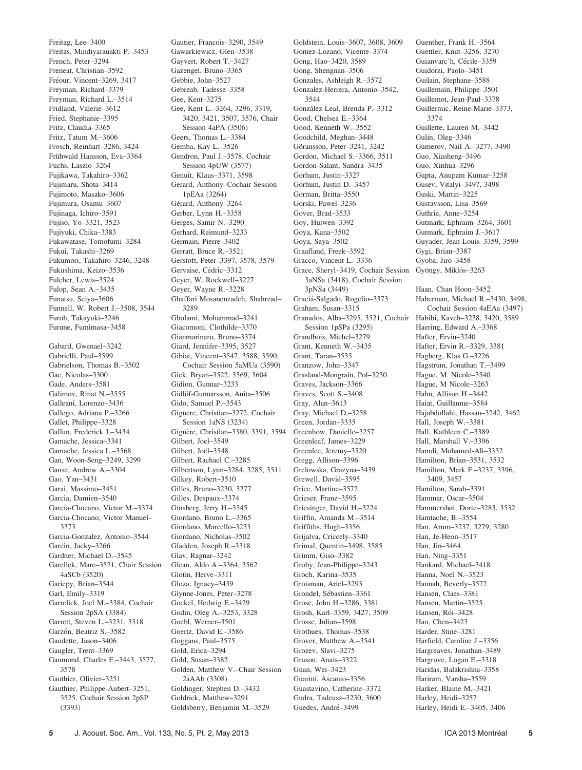Freitag, Lee–3400 Freitas, Mindiyarauakti P.–3453 French, Peter–3294 Freneat, Christian–3592 Fréour, Vincent-3269, 3417 Freyman, Richard–3379 Freyman, Richard L.–3514 Fridland, Valerie–3612 Fried, Stephanie–3395 Fritz, Claudia–3365 Fritz, Tatum M.–3606 Frosch, Reinhart–3286, 3424 Frühwald Hansson, Eva-3364 Fuchs, Laszlo–3264 Fujikawa, Takahiro–3362 Fujimaru, Shota–3414 Fujimoto, Masako–3606 Fujimura, Osamu–3607 Fujinaga, Ichiro–3591 Fujiso, Yo–3321, 3523 Fujiyuki, Chika–3383 Fukawatase, Tomofumi–3284 Fukui, Takashi–3269 Fukumori, Takahiro–3246, 3248 Fukushima, Keizo–3536 Fulcher, Lewis–3524 Fulop, Sean A.–3435 Funatsu, Seiya–3606 Funnell, W. Robert J.–3508, 3544 Furoh, Takayuki–3246 Furune, Fumimasa–3458

Gabard, Gwenael–3242 Gabrielli, Paul–3599 Gabrielson, Thomas B.–3502 Gac, Nicolas–3300 Gade, Anders–3581 Galimov, Rinat N.–3555 Galleani, Lorenzo–3436 Gallego, Adriana P.–3266 Gallet, Philippe–3328 Gallun, Frederick J.–3434 Gamache, Jessica–3341 Gamache, Jessica L.–3568 Gan, Woon-Seng–3249, 3299 Ganse, Andrew A.–3304 Gao, Yan–3431 Garai, Massimo–3451 Garcia, Damien–3540 García-Chocano, Victor M.-3374 Garcia-Chocano, Victor Manuel– 3373 Garcia-Gonzalez, Antonio–3544 Garcin, Jacky–3266 Gardner, Michael D.–3545 Garellek, Marc–3521, Chair Session 4aSCb (3520) Gariepy, Brian–3544 Garl, Emily–3319 Garrelick, Joel M.–3384, Cochair Session 2pSA (3384) Garrett, Steven L.–3231, 3318 Garzón, Beatriz S.-3582 Gaudette, Jason–3406 Gaugler, Trent–3369 Gaumond, Charles F.–3443, 3577, 3578 Gauthier, Olivier–3251 Gauthier, Philippe-Aubert–3251, 3525, Cochair Session 2pSP (3393)

Gautier, Francois–3290, 3549 Gawarkiewicz, Glen–3538 Gayvert, Robert T.–3427 Gazengel, Bruno–3365 Gebbie, John–3527 Gebreab, Tadesse–3358 Gee, Kent–3275 Gee, Kent L.–3264, 3296, 3319, 3420, 3421, 3507, 3576, Chair Session 4aPA (3506) Geers, Thomas L.–3384 Gemba, Kay L.–3526 Gendron, Paul J.–3578, Cochair Session 4pUW (3577) Genuit, Klaus–3371, 3598 Gerard, Anthony–Cochair Session 1pEAa (3264) Gérard, Anthony-3264 Gerber, Lynn H.–3358 Gerges, Samir N.–3290 Gerhard, Reimund–3233 Germain, Pierre–3402 Gerratt, Bruce R.–3521 Gerstoft, Peter–3397, 3578, 3579 Gervaise, Cédric–3312 Geyer, W. Rockwell–3227 Geyer, Wayne R.–3228 Ghaffari Mosanenzadeh, Shahrzad– 3289 Gholami, Mohammad–3241 Giacomoni, Clothilde–3370 Gianmarinaro, Bruno–3374 Giard, Jennifer–3395, 3527 Gibiat, Vincent–3547, 3588, 3590, Cochair Session 5aMUa (3590) Gick, Bryan–3522, 3569, 3604 Gidion, Gunnar–3233 Gidlöf-Gunnarsson, Anita-3506 Gido, Samuel P.–3543 Giguere, Christian–3272, Cochair Session 1aNS (3234) Giguère, Christian-3380, 3391, 3594 Gilbert, Joel–3549 Gilbert, Joël-3548 Gilbert, Rachael C-3285 Gilbertson, Lynn–3284, 3285, 3511 Gilkey, Robert–3510 Gilles, Bruno–3230, 3277 Gilles, Despaux–3374 Ginsberg, Jerry H.–3545 Giordano, Bruno L.–3365 Giordano, Marcello–3233 Giordano, Nicholas–3502 Gladden, Joseph R.–3318 Glav, Ragnar–3242 Glean, Aldo A.–3364, 3562 Glotin, Herve–3311 Gloza, Ignacy–3439 Glynne-Jones, Peter–3278 Gockel, Hedwig E.–3429 Godin, Oleg A.–3253, 3328 Goebl, Werner–3501 Goertz, David E.–3586 Goggans, Paul–3575 Gold, Erica–3294 Gold, Susan–3382 Golden, Matthew V.–Chair Session 2aAAb (3308) Goldinger, Stephen D.–3432 Goldrick, Matthew–3291 Goldsberry, Benjamin M.–3529

Goldstein, Louis–3607, 3608, 3609 Gomez-Lozano, Vicente–3374 Gong, Hao–3420, 3589 Gong, Shengnan–3506 Gonzales, Ashleigh R.–3572 Gonzalez-Herrera, Antonio–3542, 3544 González Leal, Brenda P-3312 Good, Chelsea E.–3364 Good, Kenneth W.–3552 Goodchild, Meghan–3448 Göransson, Peter-3241, 3242 Gordon, Michael S.–3366, 3511 Gordon-Salant, Sandra–3435 Gorhum, Justin–3327 Gorhum, Justin D.–3457 Gorman, Britta–3550 Gorski, Pawel–3236 Gover, Brad–3533 Goy, Huiwen–3392 Goya, Kana–3502 Goya, Saya–3502 Graafland, Freek–3592 Gracco, Vincent L.–3336 Grace, Sheryl–3419, Cochair Session 3aNSa (3418), Cochair Session 3pNSa (3449) Gracia´-Salgado, Rogelio–3373 Graham, Susan–3315 Granados, Alba–3295, 3521, Cochair Session 1pSPa (3295) Grandbois, Michel–3279 Grant, Kenneth W.–3435 Grant, Taran–3535 Granzow, John–3347 Grasland-Mongrain, Pol–3230 Graves, Jackson–3366 Graves, Scott S.–3408 Gray, Alan–3613 Gray, Michael D.–3258 Green, Jordan–3335 Greenhow, Danielle–3257 Greenleaf, James–3229 Greenlee, Jeremy–3520 Gregg, Allison–3396 Grelowska, Grazyna–3439 Grewell, David–3595 Grice, Martine–3572 Grieser, Franz–3595 Griesinger, David H.–3224 Griffin, Amanda M.–3514 Griffiths, Hugh–3356 Grijalva, Criccely–3340 Grimal, Quentin–3498, 3585 Grimm, Giso–3382 Groby, Jean-Philippe–3243 Groch, Karina–3535 Groisman, Ariel–3293 Grondel, Sébastien–3361 Grose, John H.–3286, 3381 Grosh, Karl–3359, 3427, 3509 Grosse, Julian–3598 Grothues, Thomas–3538 Grover, Matthew A.–3541 Grozev, Slavi–3275 Gruson, Anais–3322 Guan, Wei–3423 Guarini, Ascanio–3356 Guastavino, Catherine–3372 Gudra, Tadeusz–3230, 3600

Guedes, André-3499

Guenther, Frank H.–3564 Guettler, Knut–3256, 3270 Guianvarc'h, Cécile–3359 Guidorzi, Paolo–3451 Guilain, Stephane–3588 Guillemain, Philippe–3501 Guillemot, Jean-Paul–3378 Guillermic, Reine-Marie–3373, 3374 Guillette, Lauren M.–3442 Gulin, Oleg–3346 Gumerov, Nail A.–3277, 3490 Guo, Xiasheng–3496 Guo, Xinhua–3296 Gupta, Anupam Kumar–3258 Gusev, Vitalyi–3497, 3498 Guski, Martin–3225 Gustavsson, Lisa–3569 Guthrie, Anne–3254 Gutmark, Ephraim–3264, 3601 Gutmark, Ephraim J.–3617 Guyader, Jean-Louis–3359, 3599 Gygi, Brian–3387 Gyoba, Jiro–3458 Gyöngy, Miklós–3263 Haan, Chan Hoon–3452 Haberman, Michael R.–3430, 3498, Cochair Session 4aEAa (3497) Habibi, Kaveh–3238, 3420, 3589 Haering, Edward A.–3368 Hafter, Ervin–3240 Hafter, Ervin R.–3329, 3381 Hagberg, Klas G.–3226 Hagstrum, Jonathan T.–3499 Hague, M. Nicole–3540 Hague, M Nicole–3263 Hahn, Allison H.–3442 Haiat, Guillaume–3584 Hajabdollahi, Hassan–3242, 3462 Hall, Joseph W.–3381 Hall, Kathleen C.–3389 Hall, Marshall V.–3396 Hamdi, Mohamed-Ali–3332 Hamilton, Brian–3531, 3532 Hamilton, Mark F.–3237, 3396, 3409, 3457 Hamilton, Sarah–3391 Hammar, Oscar–3504 Hammershøi, Dorte–3283, 3532 Hamtache, B.–3554 Han, Arum–3237, 3279, 3280 Han, Je-Heon–3517 Han, Jin–3464 Han, Ning–3351 Hankard, Michael–3418 Hanna, Noel N.–3523 Hannah, Beverly–3572 Hansen, Claes–3381 Hansen, Martin–3525 Hansen, Rói-3428 Hao, Chen–3423 Harder, Stine–3281 Harfield, Caroline J.–3356 Hargreaves, Jonathan–3489 Hargrove, Logan E.–3318 Haridas, Balakrishna–3358 Hariram, Varsha–3559 Harker, Blaine M.–3421 Harley, Heidi–3257 Harley, Heidi E.–3405, 3406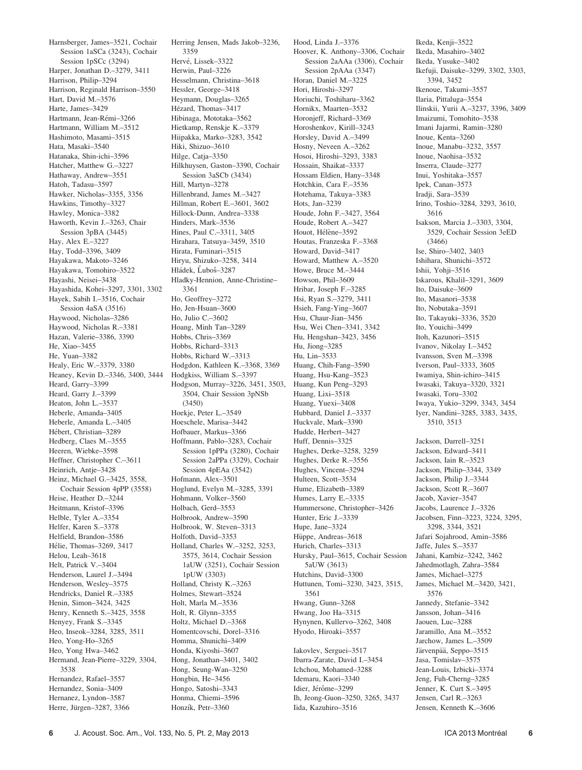Harnsberger, James–3521, Cochair Session 1aSCa (3243), Cochair Session 1pSCc (3294) Harper, Jonathan D.–3279, 3411 Harrison, Philip–3294 Harrison, Reginald Harrison–3550 Hart, David M.–3576 Harte, James–3429 Hartmann, Jean-Rémi-3266 Hartmann, William M.–3512 Hashimoto, Masami–3515 Hata, Masaki–3540 Hatanaka, Shin-ichi–3596 Hatcher, Matthew G.–3227 Hathaway, Andrew–3551 Hatoh, Tadasu–3597 Hawker, Nicholas–3355, 3356 Hawkins, Timothy–3327 Hawley, Monica–3382 Haworth, Kevin J.–3263, Chair Session 3pBA (3445) Hay, Alex E.–3227 Hay, Todd–3396, 3409 Hayakawa, Makoto–3246 Hayakawa, Tomohiro–3522 Hayashi, Neisei–3438 Hayashida, Kohei–3297, 3301, 3302 Hayek, Sabih I.–3516, Cochair Session 4aSA (3516) Haywood, Nicholas–3286 Haywood, Nicholas R.–3381 Hazan, Valerie–3386, 3390 He, Xiao–3455 He, Yuan–3382 Healy, Eric W.–3379, 3380 Heaney, Kevin D.–3346, 3400, 3444 Heard, Garry–3399 Heard, Garry J.–3399 Heaton, John L.–3537 Heberle, Amanda–3405 Heberle, Amanda L.–3405 Hébert, Christian–3289 Hedberg, Claes M.–3555 Heeren, Wiebke–3598 Heffner, Christopher C.–3611 Heinrich, Antje–3428 Heinz, Michael G.–3425, 3558, Cochair Session 4pPP (3558) Heise, Heather D.–3244 Heitmann, Kristof–3396 Helble, Tyler A.–3354 Helfer, Karen S.–3378 Helfield, Brandon–3586 Hélie, Thomas-3269, 3417 Helou, Leah–3618 Helt, Patrick V.–3404 Henderson, Laurel J.–3494 Henderson, Wesley–3575 Hendricks, Daniel R.–3385 Henin, Simon–3424, 3425 Henry, Kenneth S.–3425, 3558 Henyey, Frank S.–3345 Heo, Inseok–3284, 3285, 3511 Heo, Yong-Ho–3265 Heo, Yong Hwa–3462 Hermand, Jean-Pierre–3229, 3304, 3538 Hernandez, Rafael–3557 Hernandez, Sonia–3409 Hernanez, Lyndon–3587 Herre, Jürgen-3287, 3366

Herring Jensen, Mads Jakob–3236, 3359 Hervé, Lissek–3322 Herwin, Paul–3226 Hesselmann, Christina–3618 Hessler, George–3418 Heymann, Douglas–3265 Hézard, Thomas-3417 Hibinaga, Mototaka–3562 Hietkamp, Renskje K.–3379 Hiipakka, Marko–3283, 3542 Hiki, Shizuo–3610 Hilge, Catja–3350 Hilkhuysen, Gaston–3390, Cochair Session 3aSCb (3434) Hill, Martyn–3278 Hillenbrand, James M.–3427 Hillman, Robert E.–3601, 3602 Hillock-Dunn, Andrea–3338 Hinders, Mark–3536 Hines, Paul C.–3311, 3405 Hirahara, Tatsuya–3459, 3510 Hirata, Fuminari–3515 Hiryu, Shizuko–3258, 3414 Hládek, Ľuboš–3287 Hladky-Hennion, Anne-Christine– 3361 Ho, Geoffrey–3272 Ho, Jen-Hsuan–3600 Ho, Julio C.–3602 Hoang, Minh Tan–3289 Hobbs, Chris–3369 Hobbs, Richard–3313 Hobbs, Richard W.–3313 Hodgdon, Kathleen K.–3368, 3369 Hodgkiss, William S.–3397 Hodgson, Murray–3226, 3451, 3503, 3504, Chair Session 3pNSb (3450) Hoekje, Peter L.–3549 Hoeschele, Marisa–3442 Hofbauer, Markus–3366 Hoffmann, Pablo–3283, Cochair Session 1pPPa (3280), Cochair Session 2aPPa (3329), Cochair Session 4pEAa (3542) Hofmann, Alex–3501 Hoglund, Evelyn M.–3285, 3391 Hohmann, Volker–3560 Holbach, Gerd–3553 Holbrook, Andrew–3590 Holbrook, W. Steven–3313 Holfoth, David–3353 Holland, Charles W.–3252, 3253, 3575, 3614, Cochair Session 1aUW (3251), Cochair Session 1pUW (3303) Holland, Christy K.–3263 Holmes, Stewart–3524 Holt, Marla M.–3536 Holt, R. Glynn–3355 Holtz, Michael D.–3368 Homentcovschi, Dorel–3316 Homma, Shunichi–3409 Honda, Kiyoshi–3607 Hong, Jonathan–3401, 3402 Hong, Seung-Wan–3250 Hongbin, He–3456 Hongo, Satoshi–3343 Honma, Chiemi–3596

Hood, Linda J.–3376 Hoover, K. Anthony–3306, Cochair Session 2aAAa (3306), Cochair Session 2pAAa (3347) Horan, Daniel M.–3225 Hori, Hiroshi–3297 Horiuchi, Toshiharu–3362 Hornikx, Maarten–3532 Horonjeff, Richard–3369 Horoshenkov, Kirill–3243 Horsley, David A.–3499 Hosny, Neveen A.–3262 Hosoi, Hiroshi–3293, 3383 Hossain, Shaikat–3337 Hossam Eldien, Hany–3348 Hotchkin, Cara F.–3536 Hotehama, Takuya–3383 Hots, Jan–3239 Houde, John F.–3427, 3564 Houde, Robert A.–3427 Houot, Hélène–3592 Houtas, Franzeska F.–3368 Howard, David–3417 Howard, Matthew A.–3520 Howe, Bruce M.–3444 Howson, Phil–3609 Hribar, Joseph F.–3285 Hsi, Ryan S.–3279, 3411 Hsieh, Fang-Ying–3607 Hsu, Chaur-Jian–3456 Hsu, Wei Chen–3341, 3342 Hu, Hengshan–3423, 3456 Hu, Jiong–3285 Hu, Lin–3533 Huang, Chih-Fang–3590 Huang, Hsu-Kang–3523 Huang, Kun Peng–3293 Huang, Lixi–3518 Huang, Yuexi–3408 Hubbard, Daniel J.–3337 Huckvale, Mark–3390 Hudde, Herbert–3427 Huff, Dennis–3325 Hughes, Derke–3258, 3259 Hughes, Derke R.–3556 Hughes, Vincent–3294 Hulteen, Scott–3534 Hume, Elizabeth–3389 Humes, Larry E.–3335 Hummersone, Christopher–3426 Hunter, Eric J.–3339 Hupe, Jane–3324 Hüppe, Andreas–3618 Hurich, Charles–3313 Hursky, Paul–3615, Cochair Session 5aUW (3613) Hutchins, David–3300 Huttunen, Tomi–3230, 3423, 3515, 3561 Hwang, Gunn–3268 Hwang, Joo Ha–3315 Hynynen, Kullervo–3262, 3408 Hyodo, Hiroaki–3557

Iakovlev, Serguei–3517 Ibarra-Zarate, David I.–3454 Ichchou, Mohamed–3288 Idemaru, Kaori–3340 Idier, Jérôme–3299 Ih, Jeong-Guon–3250, 3265, 3437 Iida, Kazuhiro–3516

Ikeda, Kenji–3522 Ikeda, Masahiro–3402 Ikeda, Yusuke–3402 Ikefuji, Daisuke–3299, 3302, 3303, 3394, 3452 Ikenoue, Takumi–3557 Ilaria, Pittaluga–3554 Ilinskii, Yurii A.–3237, 3396, 3409 Imaizumi, Tomohito–3538 Imani Jajarmi, Ramin–3280 Inoue, Kenta–3260 Inoue, Manabu–3232, 3557 Inoue, Naohisa–3532 Inserra, Claude–3277 Inui, Yoshitaka–3557 Ipek, Canan–3573 Iradji, Sara–3539 Irino, Toshio–3284, 3293, 3610, 3616 Isakson, Marcia J.–3303, 3304, 3529, Cochair Session 3eED (3466) Ise, Shiro–3402, 3403 Ishihara, Shunichi–3572 Ishii, Yohji–3516 Iskarous, Khalil–3291, 3609 Ito, Daisuke–3609 Ito, Masanori–3538 Ito, Nobutaka–3591 Ito, Takayuki–3336, 3520 Ito, Youichi–3499 Itoh, Kazunori–3515 Ivanov, Nikolay I.–3452 Ivansson, Sven M.–3398 Iverson, Paul–3333, 3605 Iwamiya, Shin-ichiro–3415 Iwasaki, Takuya–3320, 3321 Iwasaki, Toru–3302 Iwaya, Yukio–3299, 3343, 3454 Iyer, Nandini–3285, 3383, 3435, 3510, 3513 Jackson, Darrell–3251 Jackson, Edward–3411 Jackson, Iain R.–3523 Jackson, Philip–3344, 3349 Jackson, Philip J.–3344 Jackson, Scott R.–3607 Jacob, Xavier–3547 Jacobs, Laurence J.–3326 Jacobsen, Finn–3223, 3224, 3295, 3298, 3344, 3521 Jafari Sojahrood, Amin–3586 Jaffe, Jules S.–3537 Jahani, Kambiz–3242, 3462 Jahedmotlagh, Zahra–3584 James, Michael–3275 James, Michael M.–3420, 3421, 3576 Jannedy, Stefanie–3342 Jansson, Johan–3416 Jaouen, Luc–3288 Jaramillo, Ana M.–3552 Jarchow, James L.–3509 Järvenpää, Seppo-3515 Jasa, Tomislav–3575 Jean-Louis, Izbicki–3374 Jeng, Fuh-Cherng–3285 Jenner, K. Curt S.–3495 Jensen, Carl R.–3263 Jensen, Kenneth K.–3606

Honzík, Petr-3360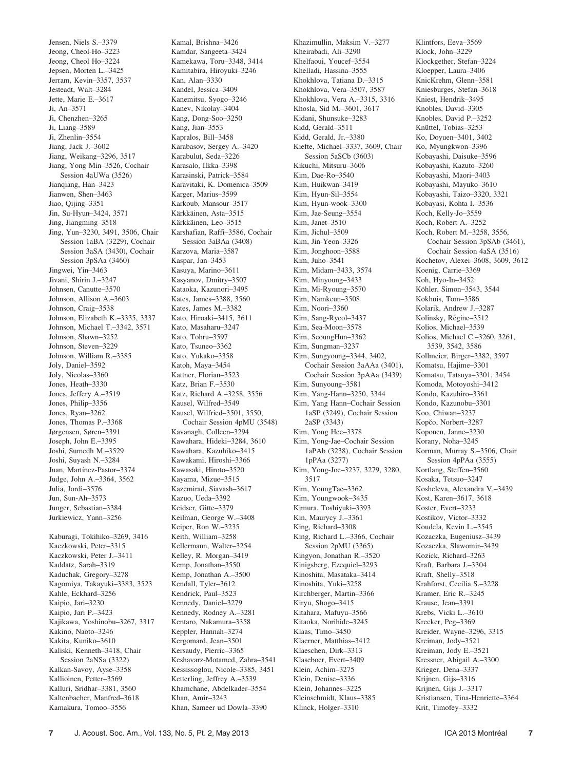Jensen, Niels S.–3379 Jeong, Cheol-Ho–3223 Jeong, Cheol Ho–3224 Jepsen, Morten L.–3425 Jerram, Kevin–3357, 3537 Jesteadt, Walt–3284 Jette, Marie E.–3617 Ji, An–3571 Ji, Chenzhen–3265 Ji, Liang–3589 Ji, Zhenlin–3554 Jiang, Jack J.–3602 Jiang, Weikang–3296, 3517 Jiang, Yong Min–3526, Cochair Session 4aUWa (3526) Jianqiang, Han–3423 Jianwen, Shen–3463 Jiao, Qijing–3351 Jin, Su-Hyun–3424, 3571 Jing, Jiangming–3518 Jing, Yun–3230, 3491, 3506, Chair Session 1aBA (3229), Cochair Session 3aSA (3430), Cochair Session 3pSAa (3460) Jingwei, Yin–3463 Jivani, Shirin J.–3247 Johnsen, Canutte–3570 Johnson, Allison A.–3603 Johnson, Craig–3538 Johnson, Elizabeth K.–3335, 3337 Johnson, Michael T.–3342, 3571 Johnson, Shawn–3252 Johnson, Steven–3229 Johnson, William R.–3385 Joly, Daniel–3592 Joly, Nicolas–3360 Jones, Heath–3330 Jones, Jeffery A.–3519 Jones, Philip–3356 Jones, Ryan–3262 Jones, Thomas P.–3368 Jørgensen, Søren–3391 Joseph, John E.–3395 Joshi, Sumedh M.–3529 Joshi, Suyash N.–3284 Juan, Martínez-Pastor-3374 Judge, John A.–3364, 3562 Julia, Jordi–3576 Jun, Sun-Ah–3573 Junger, Sebastian–3384 Jurkiewicz, Yann–3256 Kaburagi, Tokihiko–3269, 3416 Kaczkowski, Peter–3315 Kaczkowski, Peter J.–3411

Kaddatz, Sarah–3319 Kaduchak, Gregory–3278 Kagomiya, Takayuki–3383, 3523 Kahle, Eckhard–3256 Kaipio, Jari–3230 Kaipio, Jari P.–3423 Kajikawa, Yoshinobu–3267, 3317 Kakino, Naoto–3246 Kakita, Kuniko–3610 Kaliski, Kenneth–3418, Chair Session 2aNSa (3322) Kalkan-Savoy, Ayse–3358 Kallioinen, Petter–3569 Kalluri, Sridhar–3381, 3560 Kaltenbacher, Manfred–3618 Kamakura, Tomoo–3556

Kamdar, Sangeeta–3424 Kamekawa, Toru–3348, 3414 Kamitabira, Hiroyuki–3246 Kan, Alan–3330 Kandel, Jessica–3409 Kanemitsu, Syogo–3246 Kanev, Nikolay–3404 Kang, Dong-Soo–3250 Kang, Jian–3553 Kapralos, Bill–3458 Karabasov, Sergey A.–3420 Karabulut, Seda–3226 Karasalo, Ilkka–3398 Karasinski, Patrick–3584 Karavitaki, K. Domenica–3509 Karger, Marius–3599 Karkoub, Mansour–3517 Kärkkäinen, Asta-3515 Kärkkäinen, Leo-3515 Karshafian, Raffi–3586, Cochair Session 3aBAa (3408) Karzova, Maria–3587 Kaspar, Jan–3453 Kasuya, Marino–3611 Kasyanov, Dmitry–3507 Kataoka, Kazunori–3495 Kates, James–3388, 3560 Kates, James M.–3382 Kato, Hiroaki–3415, 3611 Kato, Masaharu–3247 Kato, Tohru–3597 Kato, Tsuneo–3362 Kato, Yukako–3358 Katoh, Maya–3454 Kattner, Florian–3523 Katz, Brian F.–3530 Katz, Richard A.–3258, 3556 Kausel, Wilfred–3549 Kausel, Wilfried–3501, 3550, Cochair Session 4pMU (3548) Kavanagh, Colleen–3294 Kawahara, Hideki–3284, 3610 Kawahara, Kazuhiko–3415 Kawakami, Hiroshi–3366 Kawasaki, Hiroto–3520 Kayama, Mizue–3515 Kazemirad, Siavash–3617 Kazuo, Ueda–3392 Keidser, Gitte–3379 Keilman, George W.–3408 Keiper, Ron W.–3235 Keith, William–3258 Kellermann, Walter–3254 Kelley, R. Morgan–3419 Kemp, Jonathan–3550 Kemp, Jonathan A.–3500 Kendall, Tyler–3612 Kendrick, Paul–3523 Kennedy, Daniel–3279 Kennedy, Rodney A.–3281 Kentaro, Nakamura–3358 Keppler, Hannah–3274 Kergomard, Jean–3501 Kersaudy, Pierric–3365 Keshavarz-Motamed, Zahra–3541 Kessissoglou, Nicole–3385, 3451 Ketterling, Jeffrey A.–3539 Khamchane, Abdelkader–3554 Khan, Amir–3243 Khan, Sameer ud Dowla–3390

Kamal, Brishna–3426

Khazimullin, Maksim V.–3277 Kheirabadi, Ali–3290 Khelfaoui, Youcef–3554 Khelladi, Hassina–3555 Khokhlova, Tatiana D.–3315 Khokhlova, Vera–3507, 3587 Khokhlova, Vera A.–3315, 3316 Khosla, Sid M.–3601, 3617 Kidani, Shunsuke–3283 Kidd, Gerald–3511 Kidd, Gerald, Jr.–3380 Kiefte, Michael–3337, 3609, Chair Session 5aSCb (3603) Kikuchi, Mitsuru–3606 Kim, Dae-Ro–3540 Kim, Huikwan–3419 Kim, Hyun-Sil–3554 Kim, Hyun-wook–3300 Kim, Jae-Seung–3554 Kim, Janet–3510 Kim, Jichul–3509 Kim, Jin-Yeon–3326 Kim, Jonghoon–3588 Kim, Juho–3541 Kim, Midam–3433, 3574 Kim, Minyoung–3433 Kim, Mi-Ryoung–3570 Kim, Namkeun–3508 Kim, Noori–3360 Kim, Sang-Ryeol–3437 Kim, Sea-Moon–3578 Kim, SeoungHun–3362 Kim, Sungman–3237 Kim, Sungyoung–3344, 3402, Cochair Session 3aAAa (3401), Cochair Session 3pAAa (3439) Kim, Sunyoung–3581 Kim, Yang-Hann–3250, 3344 Kim, Yang Hann–Cochair Session 1aSP (3249), Cochair Session 2aSP (3343) Kim, Yong Hee–3378 Kim, Yong-Jae–Cochair Session 1aPAb (3238), Cochair Session 1pPAa (3277) Kim, Yong-Joe–3237, 3279, 3280, 3517 Kim, YoungTae–3362 Kim, Youngwook–3435 Kimura, Toshiyuki–3393 Kin, Maurycy J.–3361 King, Richard–3308 King, Richard L.–3366, Cochair Session 2pMU (3365) Kingyon, Jonathan R.–3520 Kinigsberg, Ezequiel–3293 Kinoshita, Masataka–3414 Kinoshita, Yuki–3258 Kirchberger, Martin–3366 Kiryu, Shogo–3415 Kitahara, Mafuyu–3566 Kitaoka, Norihide–3245 Klaas, Timo–3450 Klaerner, Matthias–3412 Klaeschen, Dirk–3313 Klaseboer, Evert–3409 Klein, Achim–3275 Klein, Denise–3336 Klein, Johannes–3225 Kleinschmidt, Klaus–3385 Klinck, Holger–3310

Klintfors, Eeva–3569 Klock, John–3229 Klockgether, Stefan–3224 Kloepper, Laura–3406 KnicKrehm, Glenn–3581 Kniesburges, Stefan–3618 Kniest, Hendrik–3495 Knobles, David–3305 Knobles, David P.–3252 Knüttel, Tobias-3253 Ko, Doyuen–3401, 3402 Ko, Myungkwon–3396 Kobayashi, Daisuke–3596 Kobayashi, Kazuto–3260 Kobayashi, Maori–3403 Kobayashi, Mayuko–3610 Kobayashi, Taizo–3320, 3321 Kobayasi, Kohta I.–3536 Koch, Kelly-Jo–3559 Koch, Robert A.–3252 Koch, Robert M.–3258, 3556, Cochair Session 3pSAb (3461), Cochair Session 4aSA (3516) Kochetov, Alexei–3608, 3609, 3612 Koenig, Carrie–3369 Koh, Hyo-In–3452 Köhler, Simon-3543, 3544 Kokhuis, Tom–3586 Kolarik, Andrew J.–3287 Kolinsky, Régine–3512 Kolios, Michael–3539 Kolios, Michael C.–3260, 3261, 3539, 3542, 3586 Kollmeier, Birger–3382, 3597 Komatsu, Hajime–3301 Komatsu, Tatsuya–3301, 3454 Komoda, Motoyoshi–3412 Kondo, Kazuhiro–3361 Kondo, Kazunobu–3301 Koo, Chiwan–3237 Kopčo, Norbert-3287 Koponen, Janne–3230 Korany, Noha–3245 Korman, Murray S.–3506, Chair Session 4pPAa (3555) Kortlang, Steffen–3560 Kosaka, Tetsuo–3247 Kosheleva, Alexandra V.–3439 Kost, Karen–3617, 3618 Koster, Evert–3233 Kostikov, Victor–3332 Koudela, Kevin L.–3545 Kozaczka, Eugeniusz–3439 Kozaczka, Sławomir–3439 Kozick, Richard–3263 Kraft, Barbara J.–3304 Kraft, Shelly–3518 Krahforst, Cecilia S.–3228 Kramer, Eric R.–3245 Krause, Jean–3391 Krebs, Vicki L.–3610 Krecker, Peg–3369 Kreider, Wayne–3296, 3315 Kreiman, Jody–3521 Kreiman, Jody E.–3521 Kressner, Abigail A.–3300 Krieger, Dena–3337 Krijnen, Gijs–3316 Krijnen, Gijs J.–3317 Kristiansen, Tina-Henriette–3364 Krit, Timofey–3332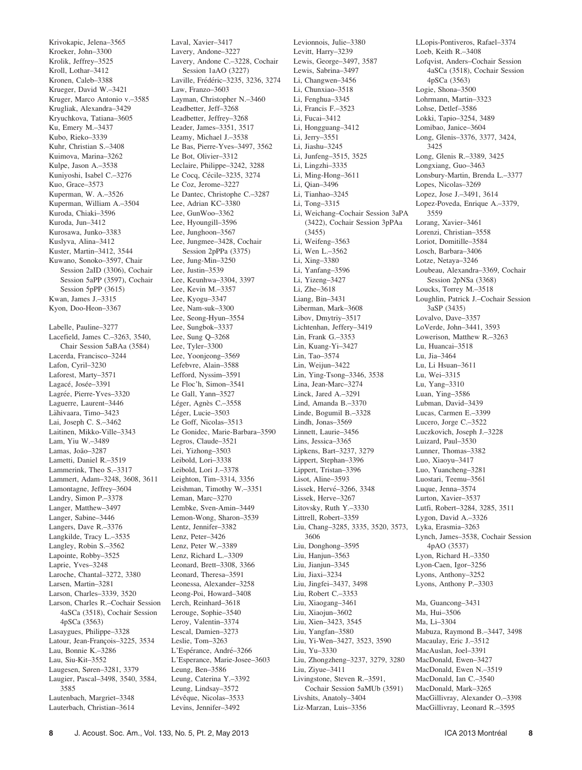Krivokapic, Jelena–3565 Kroeker, John–3300 Krolik, Jeffrey–3525 Kroll, Lothar–3412 Kronen, Caleb–3388 Krueger, David W.–3421 Kruger, Marco Antonio v.–3585 Krugliak, Alexandra–3429 Kryuchkova, Tatiana–3605 Ku, Emery M.–3437 Kubo, Rieko–3339 Kuhr, Christian S.–3408 Kuimova, Marina–3262 Kulpe, Jason A.–3538 Kuniyoshi, Isabel C.–3276 Kuo, Grace–3573 Kuperman, W. A.–3526 Kuperman, William A.–3504 Kuroda, Chiaki–3596 Kuroda, Jun–3412 Kurosawa, Junko–3383 Kuslyva, Alina–3412 Kuster, Martin–3412, 3544 Kuwano, Sonoko–3597, Chair Session 2aID (3306), Cochair Session 5aPP (3597), Cochair Session 5pPP (3615) Kwan, James J.–3315 Kyon, Doo-Heon–3367 Labelle, Pauline–3277

Lacefield, James C.–3263, 3540, Chair Session 5aBAa (3584) Lacerda, Francisco–3244 Lafon, Cyril–3230 Laforest, Marty–3571 Lagacé, Josée-3391 Lagrée, Pierre-Yves-3320 Laguerre, Laurent–3446 Lähivaara, Timo-3423 Lai, Joseph C. S.–3462 Laitinen, Mikko-Ville–3343 Lam, Yiu W.–3489 Lamas, João-3287 Lametti, Daniel R.–3519 Lammerink, Theo S.–3317 Lammert, Adam–3248, 3608, 3611 Lamontagne, Jeffrey–3604 Landry, Simon P.–3378 Langer, Matthew–3497 Langer, Sabine–3446 Langers, Dave R.–3376 Langkilde, Tracy L.–3535 Langley, Robin S.–3562 Lapointe, Robby–3525 Laprie, Yves–3248 Laroche, Chantal–3272, 3380 Larsen, Martin–3281 Larson, Charles–3339, 3520 Larson, Charles R.–Cochair Session 4aSCa (3518), Cochair Session 4pSCa (3563) Lasaygues, Philippe–3328 Latour, Jean-François-3225, 3534 Lau, Bonnie K.–3286 Lau, Siu-Kit–3552 Laugesen, Søren–3281, 3379 Laugier, Pascal–3498, 3540, 3584, 3585 Lautenbach, Margriet–3348 Lauterbach, Christian–3614

Laval, Xavier–3417 Lavery, Andone–3227 Lavery, Andone C.–3228, Cochair Session 1aAO (3227) Laville, Frédéric-3235, 3236, 3274 Law, Franzo–3603 Layman, Christopher N.–3460 Leadbetter, Jeff–3268 Leadbetter, Jeffrey–3268 Leader, James–3351, 3517 Leamy, Michael J.–3538 Le Bas, Pierre-Yves–3497, 3562 Le Bot, Olivier–3312 Leclaire, Philippe–3242, 3288 Le Cocq, Cécile–3235, 3274 Le Coz, Jerome–3227 Le Dantec, Christophe C.–3287 Lee, Adrian KC–3380 Lee, GunWoo–3362 Lee, Hyoungill–3596 Lee, Junghoon–3567 Lee, Jungmee–3428, Cochair Session 2pPPa (3375) Lee, Jung-Min–3250 Lee, Justin–3539 Lee, Keunhwa–3304, 3397 Lee, Kevin M.–3357 Lee, Kyogu–3347 Lee, Nam-suk–3300 Lee, Seong-Hyun–3554 Lee, Sungbok–3337 Lee, Sung Q–3268 Lee, Tyler–3300 Lee, Yoonjeong–3569 Lefebvre, Alain–3588 Lefford, Nyssim–3591 Le Floc'h, Simon–3541 Le Gall, Yann–3527 Léger, Agnès C.–3558 Léger, Lucie-3503 Le Goff, Nicolas–3513 Le Gonidec, Marie-Barbara–3590 Legros, Claude–3521 Lei, Yizhong–3503 Leibold, Lori–3338 Leibold, Lori J.–3378 Leighton, Tim–3314, 3356 Leishman, Timothy W.–3351 Leman, Marc–3270 Lembke, Sven-Amin–3449 Lemon-Wong, Sharon–3539 Lentz, Jennifer–3382 Lenz, Peter–3426 Lenz, Peter W.–3389 Lenz, Richard L.–3309 Leonard, Brett–3308, 3366 Leonard, Theresa–3591 Leonessa, Alexander–3258 Leong-Poi, Howard–3408 Lerch, Reinhard–3618 Lerouge, Sophie–3540 Leroy, Valentin–3374 Lescal, Damien–3273 Leslie, Tom–3263 L'Espérance, André-3266 L'Esperance, Marie-Josee–3603 Leung, Ben–3586 Leung, Caterina Y.–3392 Leung, Lindsay–3572 Lévêque, Nicolas-3533 Levins, Jennifer–3492

Levionnois, Julie–3380 Levitt, Harry–3239 Lewis, George–3497, 3587 Lewis, Sabrina–3497 Li, Changwen–3456 Li, Chunxiao–3518 Li, Fenghua–3345 Li, Francis F.–3523 Li, Fucai–3412 Li, Hongguang–3412 Li, Jerry–3551 Li, Jiashu–3245 Li, Junfeng–3515, 3525 Li, Lingzhi–3335 Li, Ming-Hong–3611 Li, Qian–3496 Li, Tianhao–3245 Li, Tong–3315 Li, Weichang–Cochair Session 3aPA (3422), Cochair Session 3pPAa (3455) Li, Weifeng–3563 Li, Wen L.–3562 Li, Xing–3380 Li, Yanfang–3596 Li, Yizeng–3427 Li, Zhe–3618 Liang, Bin–3431 Liberman, Mark–3608 Libov, Dmytriy–3517 Lichtenhan, Jeffery–3419 Lin, Frank G.–3353 Lin, Kuang-Yi–3427 Lin, Tao–3574 Lin, Weijun–3422 Lin, Ying-Tsong–3346, 3538 Lina, Jean-Marc–3274 Linck, Jared A -3291 Lind, Amanda B.–3370 Linde, Bogumil B.–3328 Lindh, Jonas–3569 Linnett, Laurie–3456 Lins, Jessica–3365 Lipkens, Bart–3237, 3279 Lippert, Stephan–3396 Lippert, Tristan–3396 Lisot, Aline–3593 Lissek, Hervé-3266, 3348 Lissek, Herve–3267 Litovsky, Ruth Y.–3330 Littrell, Robert–3359 Liu, Chang–3285, 3335, 3520, 3573, 3606 Liu, Donghong–3595 Liu, Hanjun–3563 Liu, Jianjun–3345 Liu, Jiaxi–3234 Liu, Jingfei–3437, 3498 Liu, Robert C.–3353 Liu, Xiaogang–3461 Liu, Xiaojun–3602 Liu, Xien–3423, 3545 Liu, Yangfan–3580 Liu, Yi-Wen–3427, 3523, 3590 Liu, Yu–3330 Liu, Zhongzheng–3237, 3279, 3280 Liu, Ziyue–3411 Livingstone, Steven R.–3591, Cochair Session 5aMUb (3591) Livshits, Anatoly–3404 Liz-Marzan, Luis–3356

LLopis-Pontiveros, Rafael–3374 Loeb, Keith R.–3408 Lofqvist, Anders–Cochair Session 4aSCa (3518), Cochair Session 4pSCa (3563) Logie, Shona–3500 Lohrmann, Martin–3323 Lohse, Detlef–3586 Lokki, Tapio–3254, 3489 Lomibao, Janice–3604 Long, Glenis–3376, 3377, 3424, 3425 Long, Glenis R.–3389, 3425 Longxiang, Guo–3463 Lonsbury-Martin, Brenda L.–3377 Lopes, Nicolas–3269 Lopez, Jose J.–3491, 3614 Lopez-Poveda, Enrique A.–3379, 3559 Lorang, Xavier–3461 Lorenzi, Christian–3558 Loriot, Domitille–3584 Losch, Barbara–3406 Lotze, Netaya–3246 Loubeau, Alexandra–3369, Cochair Session 2pNSa (3368) Loucks, Torrey M.–3518 Loughlin, Patrick J.–Cochair Session 3aSP (3435) Lovalvo, Dave–3357 LoVerde, John–3441, 3593 Lowerison, Matthew R.–3263 Lu, Huancai–3518 Lu, Jia–3464 Lu, Li Hsuan–3611 Lu, Wei–3315 Lu, Yang–3310 Luan, Ying–3586 Lubman, David–3439 Lucas, Carmen E.–3399 Lucero, Jorge C.–3522 Luczkovich, Joseph J.–3228 Luizard, Paul–3530 Lunner, Thomas–3382 Luo, Xiaoyu–3417 Luo, Yuancheng–3281 Luostari, Teemu–3561 Luque, Jenna–3574 Lurton, Xavier–3537 Lutfi, Robert–3284, 3285, 3511 Lygon, David A.–3326 Lyka, Erasmia–3263 Lynch, James–3538, Cochair Session 4pAO (3537) Lyon, Richard H.–3350 Lyon-Caen, Igor–3256 Lyons, Anthony–3252 Lyons, Anthony P.–3303 Ma, Guancong–3431 Ma, Hui–3506 Ma, Li–3304 Mabuza, Raymond B.–3447, 3498 Macaulay, Eric J.–3512 MacAuslan, Joel–3391 MacDonald, Ewen–3427 MacDonald, Ewen N.–3519 MacDonald, Ian C.–3540 MacDonald, Mark–3265 MacGillivray, Alexander O.–3398 MacGillivray, Leonard R.–3595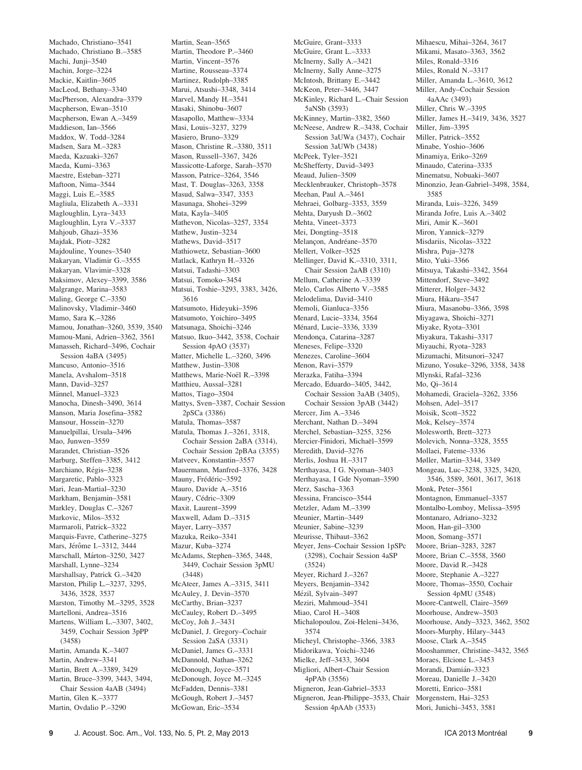Machado, Christiano–3541 Machado, Christiano B.–3585 Machi, Junji–3540 Machin, Jorge–3224 Mackie, Kaitlin–3605 MacLeod, Bethany–3340 MacPherson, Alexandra–3379 Macpherson, Ewan–3510 Macpherson, Ewan A.–3459 Maddieson, Ian–3566 Maddox, W. Todd–3284 Madsen, Sara M.–3283 Maeda, Kazuaki–3267 Maeda, Kumi–3363 Maestre, Esteban–3271 Maftoon, Nima–3544 Maggi, Luis E.–3585 Magliula, Elizabeth A.–3331 Magloughlin, Lyra–3433 Magloughlin, Lyra V.–3337 Mahjoub, Ghazi–3536 Majdak, Piotr–3282 Majdouline, Younes–3540 Makaryan, Vladimir G.–3555 Makaryan, Vlavimir–3328 Maksimov, Alexey–3399, 3586 Malgrange, Marina–3583 Maling, George C.–3350 Malinovsky, Vladimir–3460 Mamo, Sara K.–3286 Mamou, Jonathan–3260, 3539, 3540 Mamou-Mani, Adrien–3362, 3561 Manasseh, Richard–3496, Cochair Session 4aBA (3495) Mancuso, Antonio–3516 Manela, Avshalom–3518 Mann, David–3257 Männel, Manuel–3323 Manocha, Dinesh–3490, 3614 Manson, Maria Josefina–3582 Mansour, Hossein–3270 Manuelpillai, Ursula–3496 Mao, Junwen–3559 Marandet, Christian–3526 Marburg, Steffen–3385, 3412 Marchiano, Régis-3238 Margaretic, Pablo–3323 Mari, Jean-Martial–3230 Markham, Benjamin–3581 Markley, Douglas C.–3267 Markovic, Milos–3532 Marmaroli, Patrick–3322 Marquis-Favre, Catherine–3275 Mars, Jérôme I.–3312, 3444 Marschall, Márton-3250, 3427 Marshall, Lynne–3234 Marshallsay, Patrick G.–3420 Marston, Philip L.–3237, 3295, 3436, 3528, 3537 Marston, Timothy M.–3295, 3528 Martelloni, Andrea–3516 Martens, William L.–3307, 3402, 3459, Cochair Session 3pPP (3458) Martin, Amanda K.–3407 Martin, Andrew–3341 Martin, Brett A.–3389, 3429 Martin, Bruce–3399, 3443, 3494, Chair Session 4aAB (3494) Martin, Glen K.–3377 Martin, Ovdalio P.–3290

Martin, Sean–3565 Martin, Theodore P.–3460 Martin, Vincent–3576 Martine, Rousseau–3374 Martinez, Rudolph–3385 Marui, Atsushi–3348, 3414 Marvel, Mandy H.–3541 Masaki, Shinobu–3607 Masapollo, Matthew–3334 Masi, Louis–3237, 3279 Masiero, Bruno–3329 Mason, Christine R.–3380, 3511 Mason, Russell–3367, 3426 Massicotte-Laforge, Sarah–3570 Masson, Patrice–3264, 3546 Mast, T. Douglas–3263, 3358 Masud, Salwa–3347, 3353 Masunaga, Shohei–3299 Mata, Kayla–3405 Mathevon, Nicolas–3257, 3354 Mathew, Justin–3234 Mathews, David–3517 Mathiowetz, Sebastian–3600 Matlack, Kathryn H.–3326 Matsui, Tadashi–3303 Matsui, Tomoko–3454 Matsui, Toshie–3293, 3383, 3426, 3616 Matsumoto, Hideyuki–3596 Matsumoto, Yoichiro–3495 Matsunaga, Shoichi–3246 Matsuo, Ikuo–3442, 3538, Cochair Session 4pAO (3537) Matter, Michelle L.–3260, 3496 Matthew, Justin–3308 Matthews, Marie-Noël R.-3398 Matthieu, Aussal–3281 Mattos, Tiago–3504 Mattys, Sven–3387, Cochair Session 2pSCa (3386) Matula, Thomas–3587 Matula, Thomas J.–3261, 3318, Cochair Session 2aBA (3314), Cochair Session 2pBAa (3355) Matveev, Konstantin–3557 Mauermann, Manfred–3376, 3428 Mauny, Frédéric-3592 Mauro, Davide A.–3516 Maury, Cédric-3309 Maxit, Laurent–3599 Maxwell, Adam D.–3315 Mayer, Larry–3357 Mazuka, Reiko–3341 Mazur, Kuba–3274 McAdams, Stephen–3365, 3448, 3449, Cochair Session 3pMU (3448) McAteer, James A.–3315, 3411 McAuley, J. Devin–3570 McCarthy, Brian–3237 McCauley, Robert D.–3495 McCoy, Joh J.–3431 McDaniel, J. Gregory–Cochair Session 2aSA (3331) McDaniel, James G.–3331 McDannold, Nathan–3262 McDonough, Joyce–3571 McDonough, Joyce M.–3245 McFadden, Dennis–3381 McGough, Robert J.–3457 McGowan, Eric–3534

McGuire, Grant–3333 McGuire, Grant L.–3333 McInerny, Sally A.–3421 McInerny, Sally Anne–3275 McIntosh, Brittany E.–3442 McKeon, Peter–3446, 3447 McKinley, Richard L.–Chair Session 5aNSb (3593) McKinney, Martin–3382, 3560 McNeese, Andrew R.–3438, Cochair Session 3aUWa (3437), Cochair Session 3aUWb (3438) McPeek, Tyler–3521 McShefferty, David–3493 Meaud, Julien–3509 Mecklenbrauker, Christoph–3578 Meehan, Paul A.–3461 Mehraei, Golbarg–3353, 3559 Mehta, Daryush D.–3602 Mehta, Vineet–3373 Mei, Dongting–3518 Melancon, Andréane–3570 Mellert, Volker–3525 Mellinger, David K.–3310, 3311, Chair Session 2aAB (3310) Mellum, Catherine A.–3339 Melo, Carlos Alberto V.–3585 Melodelima, David–3410 Memoli, Gianluca–3356 Menard, Lucie–3334, 3564 Ménard, Lucie-3336, 3339 Mendonça, Catarina-3287 Meneses, Felipe–3320 Menezes, Caroline–3604 Menon, Ravi–3579 Merazka, Fatiha–3394 Mercado, Eduardo–3405, 3442, Cochair Session 3aAB (3405), Cochair Session 3pAB (3442) Mercer, Jim A.–3346 Merchant, Nathan D.–3494 Merchel, Sebastian–3255, 3256 Mercier-Finidori, Michaël-3599 Meredith, David–3276 Merlis, Joshua H-3317 Merthayasa, I G. Nyoman–3403 Merthayasa, I Gde Nyoman–3590 Merz, Sascha–3363 Messina, Francisco–3544 Metzler, Adam M.–3399 Meunier, Martin–3449 Meunier, Sabine–3239 Meurisse, Thibaut–3362 Meyer, Jens–Cochair Session 1pSPc (3298), Cochair Session 4aSP (3524) Meyer, Richard J.–3267 Meyers, Benjamin–3342 Mézil, Sylvain–3497 Meziri, Mahmoud–3541 Miao, Carol H.–3408 Michalopoulou, Zoi-Heleni–3436, 3574 Micheyl, Christophe–3366, 3383 Midorikawa, Yoichi–3246 Mielke, Jeff–3433, 3604 Migliori, Albert–Chair Session 4pPAb (3556) Migneron, Jean-Gabriel–3533 Migneron, Jean-Philippe–3533, Chair Session 4pAAb (3533)

Mihaescu, Mihai–3264, 3617 Mikami, Masato–3363, 3562 Miles, Ronald–3316 Miles, Ronald N.–3317 Miller, Amanda L.–3610, 3612 Miller, Andy–Cochair Session 4aAAc (3493) Miller, Chris W.–3395 Miller, James H.–3419, 3436, 3527 Miller, Jim–3395 Miller, Patrick–3552 Minabe, Yoshio–3606 Minamiya, Eriko–3269 Minaudo, Caterina–3335 Minematsu, Nobuaki–3607 Minonzio, Jean-Gabriel–3498, 3584, 3585 Miranda, Luis–3226, 3459 Miranda Jofre, Luis A.–3402 Miri, Amir K.–3601 Miron, Yannick–3279 Misdariis, Nicolas–3322 Mishra, Puja–3278 Mito, Yuki–3366 Mitsuya, Takashi–3342, 3564 Mittendorf, Steve–3492 Mitterer, Holger–3432 Miura, Hikaru–3547 Miura, Masanobu–3366, 3598 Miyagawa, Shoichi–3271 Miyake, Ryota–3301 Miyakura, Takashi–3317 Miyauchi, Ryota–3283 Mizumachi, Mitsunori–3247 Mizuno, Yosuke–3296, 3358, 3438 Mlynski, Rafal–3236 Mo, Qi–3614 Mohamedi, Graciela–3262, 3356 Mohsen, Adel–3517 Moisik, Scott–3522 Mok, Kelsey–3574 Molesworth, Brett–3273 Molevich, Nonna–3328, 3555 Mollaei, Fateme–3336 Møller, Martin–3344, 3349 Mongeau, Luc–3238, 3325, 3420, 3546, 3589, 3601, 3617, 3618 Monk, Peter–3561 Montagnon, Emmanuel–3357 Montalbo-Lomboy, Melissa–3595 Montanaro, Adriano–3232 Moon, Han-gil–3300 Moon, Somang–3571 Moore, Brian–3283, 3287 Moore, Brian C.–3558, 3560 Moore, David R.–3428 Moore, Stephanie A.–3227 Moore, Thomas–3550, Cochair Session 4pMU (3548) Moore-Cantwell, Claire–3569 Moorhouse, Andrew–3503 Moorhouse, Andy–3323, 3462, 3502 Moors-Murphy, Hilary–3443 Moose, Clark A.–3545 Mooshammer, Christine–3432, 3565 Moraes, Elcione L.–3453 Morandi, Damián-3323 Moreau, Danielle J.–3420 Moretti, Enrico–3581 Morgenstern, Hai–3253 Mori, Junichi–3453, 3581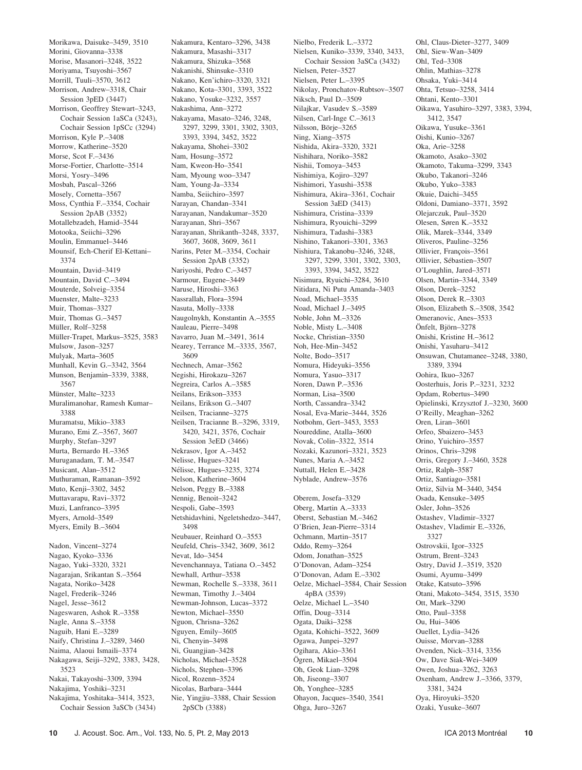Morikawa, Daisuke–3459, 3510 Morini, Giovanna–3338 Morise, Masanori–3248, 3522 Moriyama, Tsuyoshi–3567 Morrill, Tuuli–3570, 3612 Morrison, Andrew–3318, Chair Session 3pED (3447) Morrison, Geoffrey Stewart–3243, Cochair Session 1aSCa (3243), Cochair Session 1pSCc (3294) Morrison, Kyle P.–3408 Morrow, Katherine–3520 Morse, Scot F.–3436 Morse-Fortier, Charlotte–3514 Morsi, Yosry–3496 Mosbah, Pascal–3266 Mosely, Cornetta–3567 Moss, Cynthia F.–3354, Cochair Session 2pAB (3352) Motallebzadeh, Hamid–3544 Motooka, Seiichi–3296 Moulin, Emmanuel–3446 Mounsif, Ech-Cherif El-Kettani– 3374 Mountain, David–3419 Mountain, David C.–3494 Mouterde, Solveig–3354 Muenster, Malte–3233 Muir, Thomas–3327 Muir, Thomas G.–3457 Müller, Rolf-3258 Müller-Trapet, Markus-3525, 3583 Mulsow, Jason–3257 Mulyak, Marta–3605 Munhall, Kevin G.–3342, 3564 Munson, Benjamin–3339, 3388, 3567 Münster, Malte–3233 Muralimanohar, Ramesh Kumar– 3388 Muramatsu, Mikio–3383 Murano, Emi Z.–3567, 3607 Murphy, Stefan–3297 Murta, Bernardo H.–3365 Muruganadam, T. M.–3547 Musicant, Alan–3512 Muthuraman, Ramanan–3592 Muto, Kenji–3302, 3452 Muttavarapu, Ravi–3372 Muzi, Lanfranco–3395 Myers, Arnold–3549 Myers, Emily B.–3604 Nadon, Vincent–3274 Nagao, Kyoko–3336 Nagao, Yuki–3320, 3321 Nagarajan, Srikantan S.–3564 Nagata, Noriko–3428 Nagel, Frederik–3246 Nagel, Jesse–3612 Nageswaren, Ashok R.–3358 Nagle, Anna S.–3358 Naguib, Hani E.–3289 Naify, Christina J.–3289, 3460

Nakamura, Shizuka–3568 Nakanishi, Shinsuke–3310 Nakano, Ken'ichiro–3320, 3321 Nakano, Kota–3301, 3393, 3522 Nakano, Yosuke–3232, 3557 Nakashima, Ann–3272 Nakayama, Masato–3246, 3248, 3297, 3299, 3301, 3302, 3303, 3393, 3394, 3452, 3522 Nakayama, Shohei–3302 Nam, Hosung–3572 Nam, Kweon-Ho–3541 Nam, Myoung woo–3347 Nam, Young-Ja–3334 Namba, Seiichiro–3597 Narayan, Chandan–3341 Narayanan, Nandakumar–3520 Narayanan, Shri–3567 Narayanan, Shrikanth–3248, 3337, 3607, 3608, 3609, 3611 Narins, Peter M.–3354, Cochair Session 2pAB (3352) Nariyoshi, Pedro C.–3457 Narmour, Eugene–3449 Naruse, Hiroshi–3363 Nassrallah, Flora–3594 Nasuta, Molly–3338 Naugolnykh, Konstantin A.–3555 Nauleau, Pierre–3498 Navarro, Juan M.–3491, 3614 Nearey, Terrance M.–3335, 3567, 3609 Nechnech, Amar–3562 Negishi, Hirokazu–3267 Negreira, Carlos A.–3585 Neilans, Erikson–3353 Neilans, Erikson G.–3407 Neilsen, Tracianne–3275 Neilsen, Tracianne B.–3296, 3319, 3420, 3421, 3576, Cochair Session 3eED (3466) Nekrasov, Igor A.–3452 Nelisse, Hugues–3241 Nélisse, Hugues–3235, 3274 Nelson, Katherine–3604 Nelson, Peggy B.–3388 Nennig, Benoit–3242 Nespoli, Gabe–3593 Netshidavhini, Ngeletshedzo–3447, 3498 Neubauer, Reinhard O.–3553 Neufeld, Chris–3342, 3609, 3612 Nevat, Ido–3454 Nevenchannaya, Tatiana O.–3452 Newhall, Arthur–3538 Newman, Rochelle S.–3338, 3611 Newman, Timothy J.–3404 Newman-Johnson, Lucas–3372 Newton, Michael–3550 Nguon, Chrisna–3262 Nguyen, Emily–3605 Ni, Chenyin–3498 Ni, Guangjian–3428 Nicholas, Michael–3528 Nichols, Stephen–3396 Nicol, Rozenn–3524 Nicolas, Barbara–3444 Nie, Yingjiu–3388, Chair Session 2pSCb (3388)

Nakamura, Kentaro–3296, 3438 Nakamura, Masashi–3317

Nielbo, Frederik L.–3372 Nielsen, Kuniko–3339, 3340, 3433, Cochair Session 3aSCa (3432) Nielsen, Peter–3527 Nielsen, Peter L.–3395 Nikolay, Pronchatov-Rubtsov–3507 Niksch, Paul D.–3509 Nilajkar, Vasudev S.–3589 Nilsen, Carl-Inge C.–3613 Nilsson, Börje-3265 Ning, Xiang–3575 Nishida, Akira–3320, 3321 Nishihara, Noriko–3582 Nishii, Tomoya–3453 Nishimiya, Kojiro–3297 Nishimori, Yasushi–3538 Nishimura, Akira–3361, Cochair Session 3aED (3413) Nishimura, Cristina–3339 Nishimura, Ryouichi–3299 Nishimura, Tadashi–3383 Nishino, Takanori–3301, 3363 Nishiura, Takanobu–3246, 3248, 3297, 3299, 3301, 3302, 3303, 3393, 3394, 3452, 3522 Nisimura, Ryuichi–3284, 3610 Nitidara, Ni Putu Amanda–3403 Noad, Michael–3535 Noad, Michael J.–3495 Noble, John M.–3326 Noble, Misty L.–3408 Nocke, Christian–3350 Noh, Hee-Min–3452 Nolte, Bodo–3517 Nomura, Hideyuki–3556 Nomura, Yasuo–3317 Noren, Dawn P.–3536 Norman, Lisa–3500 North, Cassandra–3342 Nosal, Eva-Marie–3444, 3526 Notbohm, Gert–3453, 3553 Noureddine, Atalla–3600 Novak, Colin–3322, 3514 Nozaki, Kazunori–3321, 3523 Nunes, Maria A.–3452 Nuttall, Helen E.–3428 Nyblade, Andrew–3576 Oberem, Josefa–3329 Oberg, Martin A.–3333 Oberst, Sebastian M.–3462 O'Brien, Jean-Pierre–3314 Ochmann, Martin–3517 Oddo, Remy–3264 Odom, Jonathan–3525 O'Donovan, Adam–3254 O'Donovan, Adam E.–3302 Oelze, Michael–3584, Chair Session 4pBA (3539) Oelze, Michael L.–3540 Offin, Doug–3314 Ogata, Daiki–3258 Ogata, Kohichi–3522, 3609 Ogawa, Junpei–3297 Ogihara, Akio–3361 Ögren, Mikael–3504 Oh, Geok Lian–3298 Oh, Jiseong–3307

Oh, Yonghee–3285 Ohayon, Jacques–3540, 3541

Ohga, Juro–3267

Ohl, Claus-Dieter–3277, 3409 Ohl, Siew-Wan–3409 Ohl, Ted–3308 Ohlin, Mathias–3278 Ohsaka, Yuki–3414 Ohta, Tetsuo–3258, 3414 Ohtani, Kento–3301 Oikawa, Yasuhiro–3297, 3383, 3394, 3412, 3547 Oikawa, Yusuke–3361 Oishi, Kunio–3267 Oka, Arie–3258 Okamoto, Asako–3302 Okamoto, Takuma–3299, 3343 Okubo, Takanori–3246 Okubo, Yuko–3383 Okuie, Daichi–3455 Oldoni, Damiano–3371, 3592 Olejarczuk, Paul–3520 Olesen, Søren K.–3532 Olik, Marek–3344, 3349 Oliveros, Pauline–3256 Ollivier, François-3561 Ollivier, Sébastien-3507 O'Loughlin, Jared–3571 Olsen, Martin–3344, 3349 Olson, Derek–3252 Olson, Derek R.–3303 Olson, Elizabeth S.–3508, 3542 Omeranovic, Anes–3533 Önfelt, Björn–3278 Onishi, Kristine H.–3612 Onishi, Yasuharu–3412 Onsuwan, Chutamanee–3248, 3380, 3389, 3394 Oohira, Ikuo–3267 Oosterhuis, Joris P.–3231, 3232 Opdam, Robertus–3490 Opielinski, Krzysztof J.–3230, 3600 O'Reilly, Meaghan–3262 Oren, Liran–3601 Orfeo, Sbaizero–3453 Orino, Yuichiro–3557 Orinos, Chris–3298 Orris, Gregory J.–3460, 3528 Ortiz, Ralph–3587 Ortiz, Santiago–3581 Ortiz, Silvia M–3440, 3454 Osada, Kensuke–3495 Osler, John–3526 Ostashev, Vladimir–3327 Ostashev, Vladimir E.–3326, 3327 Ostrovskii, Igor–3325 Ostrum, Brent–3243 Ostry, David J.–3519, 3520 Osumi, Ayumu–3499 Otake, Katsuto–3596 Otani, Makoto–3454, 3515, 3530 Ott, Mark–3290 Otto, Paul–3358 Ou, Hui–3406 Ouellet, Lydia–3426 Ouisse, Morvan–3288 Ovenden, Nick–3314, 3356 Ow, Dave Siak-Wei–3409 Owen, Joshua–3262, 3263 Oxenham, Andrew J.–3366, 3379, 3381, 3424 Oya, Hiroyuki–3520

Naima, Alaoui Ismaili–3374 Nakagawa, Seiji–3292, 3383, 3428,

Nakai, Takayoshi–3309, 3394 Nakajima, Yoshiki–3231 Nakajima, Yoshitaka–3414, 3523, Cochair Session 3aSCb (3434)

3523

Ozaki, Yusuke–3607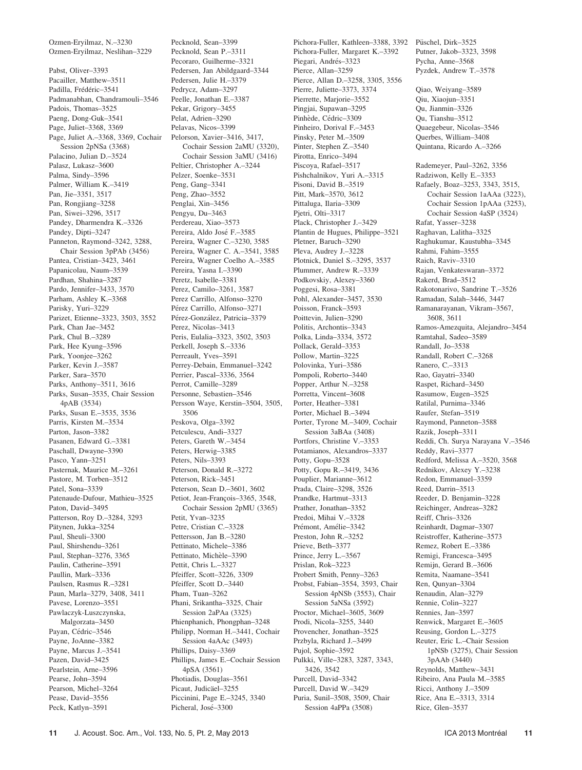Ozmen-Eryilmaz, N.–3230 Ozmen-Eryilmaz, Neslihan–3229

Pabst, Oliver–3393 Pacailler, Matthew–3511 Padilla, Frédéric-3541 Padmanabhan, Chandramouli–3546 Padois, Thomas–3525 Paeng, Dong-Guk–3541 Page, Juliet–3368, 3369 Page, Juliet A.–3368, 3369, Cochair Session 2pNSa (3368) Palacino, Julian D.–3524 Palasz, Lukasz–3600 Palma, Sindy–3596 Palmer, William K.–3419 Pan, Jie–3351, 3517 Pan, Rongjiang–3258 Pan, Siwei–3296, 3517 Pandey, Dharmendra K.–3326 Pandey, Dipti–3247 Panneton, Raymond–3242, 3288, Chair Session 3pPAb (3456) Pantea, Cristian–3423, 3461 Papanicolau, Naum–3539 Pardhan, Shahina–3287 Pardo, Jennifer–3433, 3570 Parham, Ashley K.–3368 Parisky, Yuri–3229 Parizet, Etienne–3323, 3503, 3552 Park, Chan Jae–3452 Park, Chul B.–3289 Park, Hee Kyung–3596 Park, Yoonjee–3262 Parker, Kevin J.–3587 Parker, Sara–3570 Parks, Anthony–3511, 3616 Parks, Susan–3535, Chair Session 4pAB (3534) Parks, Susan E.–3535, 3536 Parris, Kirsten M.–3534 Parton, Jason–3382 Pasanen, Edward G.–3381 Paschall, Dwayne–3390 Pasco, Yann–3251 Pasternak, Maurice M.–3261 Pastore, M. Torben–3512 Patel, Sona–3339 Patenaude-Dufour, Mathieu–3525 Paton, David–3495 Patterson, Roy D.–3284, 3293 Pätynen, Jukka-3254 Paul, Sheuli–3300 Paul, Shirshendu–3261 Paul, Stephan–3276, 3365 Paulin, Catherine–3591 Paullin, Mark–3336 Paulsen, Rasmus R.–3281 Paun, Marla–3279, 3408, 3411 Pavese, Lorenzo–3551 Pawlaczyk-Luszczynska, Malgorzata–3450 Payan, Cédric-3546 Payne, JoAnne–3382 Payne, Marcus J.–3541 Pazen, David–3425 Pearlstein, Arne–3596 Pearse, John–3594 Pearson, Michel–3264 Pease, David–3556 Peck, Katlyn–3591

Pecknold, Sean P.–3311 Pecoraro, Guilherme–3321 Pedersen, Jan Abildgaard–3344 Pedersen, Julie H.–3379 Pedrycz, Adam–3297 Peelle, Jonathan E.–3387 Pekar, Grigory–3455 Pelat, Adrien–3290 Pelavas, Nicos–3399 Pelorson, Xavier–3416, 3417, Cochair Session 2aMU (3320), Cochair Session 3aMU (3416) Peltier, Christopher A.–3244 Pelzer, Soenke–3531 Peng, Gang–3341 Peng, Zhao–3552 Penglai, Xin–3456 Pengyu, Du–3463 Perdereau, Xiao–3573 Pereira, Aldo José F.–3585 Pereira, Wagner C.–3230, 3585 Pereira, Wagner C. A.–3541, 3585 Pereira, Wagner Coelho A.–3585 Pereira, Yasna I.–3390 Peretz, Isabelle–3381 Perez, Camilo–3261, 3587 Perez Carrillo, Alfonso–3270 Pérez Carrillo, Alfonso-3271 Pérez-González, Patricia-3379 Perez, Nicolas–3413 Peris, Eulalia–3323, 3502, 3503 Perkell, Joseph S.–3336 Perreault, Yves–3591 Perrey-Debain, Emmanuel–3242 Perrier, Pascal–3336, 3564 Perrot, Camille–3289 Personne, Sebastien–3546 Persson Waye, Kerstin–3504, 3505, 3506 Peskova, Olga–3392 Petculescu, Andi–3327 Peters, Gareth W.–3454 Peters, Herwig–3385 Peters, Nils-3393 Peterson, Donald R.–3272 Peterson, Rick–3451 Peterson, Sean D.–3601, 3602 Petiot, Jean-François-3365, 3548, Cochair Session 2pMU (3365) Petit, Yvan–3235 Petre, Cristian C.–3328 Pettersson, Jan B.–3280 Pettinato, Michele–3386 Pettinato, Michèle-3390 Pettit, Chris L.–3327 Pfeiffer, Scott–3226, 3309 Pfeiffer, Scott D.–3440 Pham, Tuan–3262 Phani, Srikantha–3325, Chair Session 2aPAa (3325) Phienphanich, Phongphan–3248 Philipp, Norman H.–3441, Cochair Session 4aAAc (3493) Phillips, Daisy–3369 Phillips, James E.–Cochair Session 4pSA (3561) Photiadis, Douglas–3561 Picaut, Judicäel–3255 Piccinini, Page E.–3245, 3340 Picheral, José-3300

Pecknold, Sean–3399

Pichora-Fuller, Kathleen–3388, 3392 Püschel, Dirk–3525 Pichora-Fuller, Margaret K.–3392 Piegari, Andrés-3323 Pierce, Allan–3259 Pierce, Allan D.–3258, 3305, 3556 Pierre, Juliette–3373, 3374 Pierrette, Marjorie–3552 Pingjai, Supawan–3295 Pinhède, Cédric-3309 Pinheiro, Dorival F.–3453 Pinsky, Peter M.–3509 Pinter, Stephen Z.–3540 Pirotta, Enrico–3494 Piscoya, Rafael–3517 Pishchalnikov, Yuri A.–3315 Pisoni, David B.–3519 Pitt, Mark–3570, 3612 Pittaluga, Ilaria–3309 Pjetri, Olti–3317 Plack, Christopher J.–3429 Plantin de Hugues, Philippe–3521 Pletner, Baruch–3290 Pleva, Audrey J.–3228 Plotnick, Daniel S.–3295, 3537 Plummer, Andrew R.–3339 Podkovskiy, Alexey–3360 Poggesi, Rosa–3381 Pohl, Alexander–3457, 3530 Poisson, Franck–3593 Poittevin, Julien–3290 Politis, Archontis–3343 Polka, Linda–3334, 3572 Pollack, Gerald–3353 Pollow, Martin–3225 Polovinka, Yuri–3586 Pompoli, Roberto–3440 Popper, Arthur N.–3258 Porretta, Vincent–3608 Porter, Heather–3381 Porter, Michael B.–3494 Porter, Tyrone M.–3409, Cochair Session 3aBAa (3408) Portfors, Christine V.–3353 Potamianos, Alexandros–3337 Potty, Gopu–3528 Potty, Gopu R.–3419, 3436 Pouplier, Marianne–3612 Prada, Claire–3298, 3526 Prandke, Hartmut–3313 Prather, Jonathan–3352 Predoi, Mihai V.–3328 Prémont, Amélie–3342 Preston, John R.–3252 Prieve, Beth–3377 Prince, Jerry L.–3567 Prislan, Rok–3223 Probert Smith, Penny–3263 Probst, Fabian–3554, 3593, Chair Session 4pNSb (3553), Chair Session 5aNSa (3592) Proctor, Michael–3605, 3609 Prodi, Nicola–3255, 3440 Provencher, Jonathan–3525 Przbyla, Richard J.–3499 Pujol, Sophie–3592 Pulkki, Ville–3283, 3287, 3343, 3426, 3542 Purcell, David–3342 Purcell, David W.–3429 Puria, Sunil–3508, 3509, Chair Session 4aPPa (3508)

Putner, Jakob–3323, 3598 Pycha, Anne–3568 Pyzdek, Andrew T.–3578

Qiao, Weiyang–3589 Qiu, Xiaojun–3351 Qu, Jianmin–3326 Qu, Tianshu–3512 Quaegebeur, Nicolas–3546 Querbes, William–3408 Quintana, Ricardo A.–3266 Rademeyer, Paul–3262, 3356 Radziwon, Kelly E.–3353 Rafaely, Boaz–3253, 3343, 3515, Cochair Session 1aAAa (3223), Cochair Session 1pAAa (3253), Cochair Session 4aSP (3524) Rafat, Yasser–3238 Raghavan, Lalitha–3325 Raghukumar, Kaustubha–3345 Rahmi, Fahim–3555 Raich, Raviv–3310 Rajan, Venkateswaran–3372 Rakerd, Brad–3512 Rakotonarivo, Sandrine T.–3526 Ramadan, Salah–3446, 3447 Ramanarayanan, Vikram–3567, 3608, 3611 Ramos-Amezquita, Alejandro–3454 Ramtahal, Sadeo–3589 Randall, Jo–3538 Randall, Robert C.–3268 Ranero, C.–3313 Rao, Gayatri–3340 Raspet, Richard–3450 Rasumow, Eugen–3525 Ratilal, Purnima–3346 Raufer, Stefan–3519 Raymond, Panneton–3588 Razik, Joseph–3311 Reddi, Ch. Surya Narayana V.–3546 Reddy, Ravi–3377 Redford, Melissa A.–3520, 3568 Rednikov, Alexey Y.–3238 Redon, Emmanuel–3359 Reed, Darrin–3513 Reeder, D. Benjamin–3228 Reichinger, Andreas–3282 Reiff, Chris–3326 Reinhardt, Dagmar–3307 Reistroffer, Katherine–3573 Remez, Robert E.–3386 Remigi, Francesca–3495 Remijn, Gerard B.–3606 Remita, Naamane–3541 Ren, Qunyan–3304 Renaudin, Alan–3279 Rennie, Colin–3227 Rennies, Jan–3597 Renwick, Margaret E.–3605 Reusing, Gordon L.–3275 Reuter, Eric L.–Chair Session 1pNSb (3275), Chair Session 3pAAb (3440) Reynolds, Matthew–3431 Ribeiro, Ana Paula M.–3585 Ricci, Anthony J.–3509 Rice, Ana E.–3313, 3314 Rice, Glen–3537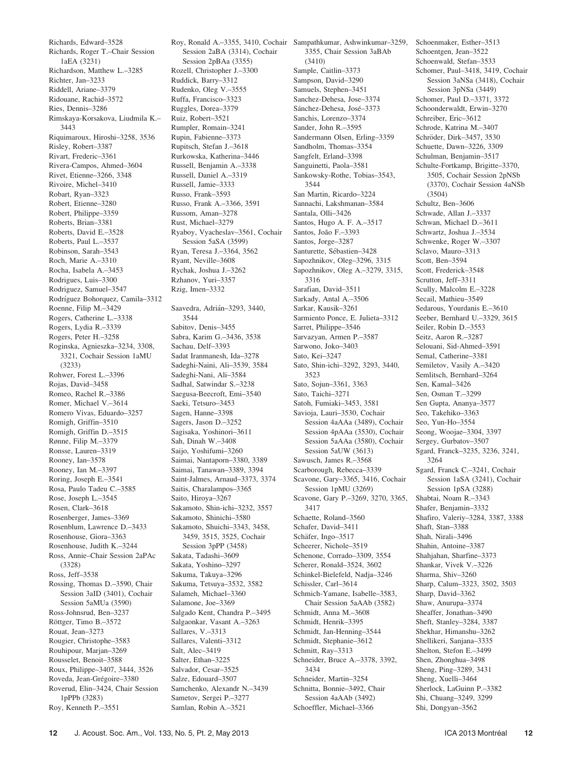Richards, Edward–3528 Richards, Roger T.–Chair Session 1aEA (3231) Richardson, Matthew L.–3285 Richter, Jan–3233 Riddell, Ariane–3379 Ridouane, Rachid–3572 Ries, Dennis–3286 Rimskaya-Korsakova, Liudmila K.– 3443 Riquimaroux, Hiroshi–3258, 3536 Risley, Robert–3387 Rivart, Frederic–3361 Rivera-Campos, Ahmed–3604 Rivet, Etienne–3266, 3348 Rivoire, Michel–3410 Robart, Ryan–3323 Robert, Etienne–3280 Robert, Philippe–3359 Roberts, Brian–3381 Roberts, David E.–3528 Roberts, Paul L.–3537 Robinson, Sarah–3543 Roch, Marie A.–3310 Rocha, Isabela A.–3453 Rodrigues, Luis–3300 Rodriguez, Samuel–3547 Rodríguez Bohorquez, Camila-3312 Roenne, Filip M.–3429 Rogers, Catherine L.–3338 Rogers, Lydia R.–3339 Rogers, Peter H.–3258 Roginska, Agnieszka–3234, 3308, 3321, Cochair Session 1aMU (3233) Rohwer, Forest L.–3396 Rojas, David–3458 Romeo, Rachel R.–3386 Romer, Michael V.–3614 Romero Vivas, Eduardo–3257 Romigh, Griffin–3510 Romigh, Griffin D.–3515 Rønne, Filip M.–3379 Ronsse, Lauren–3319 Rooney, Ian–3578 Rooney, Ian M.–3397 Roring, Joseph E.–3541 Rosa, Paulo Tadeu C.–3585 Rose, Joseph L.–3545 Rosen, Clark–3618 Rosenberger, James–3369 Rosenblum, Lawrence D.–3433 Rosenhouse, Giora–3363 Rosenhouse, Judith K.–3244 Ross, Annie–Chair Session 2aPAc (3328) Ross, Jeff–3538 Rossing, Thomas D.–3590, Chair Session 3aID (3401), Cochair Session 5aMUa (3590) Ross-Johnsrud, Ben–3237 Röttger, Timo B.–3572 Rouat, Jean–3273 Rougier, Christophe–3583 Rouhipour, Marjan–3269 Rousselet, Benoit–3588 Roux, Philippe–3407, 3444, 3526 Roveda, Jean-Grégoire-3380 Roverud, Elin–3424, Chair Session 1pPPb (3283) Roy, Kenneth P.–3551

Session 2aBA (3314), Cochair Session 2pBAa (3355) Rozell, Christopher J.–3300 Ruddick, Barry–3312 Rudenko, Oleg V.–3555 Ruffa, Francisco–3323 Ruggles, Dorea–3379 Ruiz, Robert–3521 Rumpler, Romain–3241 Rupin, Fabienne–3373 Rupitsch, Stefan J.–3618 Rurkowska, Katherina–3446 Russell, Benjamin A.–3338 Russell, Daniel A.–3319 Russell, Jamie–3333 Russo, Frank–3593 Russo, Frank A.–3366, 3591 Russom, Aman–3278 Rust, Michael–3279 Ryaboy, Vyacheslav–3561, Cochair Session 5aSA (3599) Ryan, Teresa J.–3364, 3562 Ryant, Neville–3608 Rychak, Joshua J.–3262 Rzhanov, Yuri–3357 Rzig, Imen–3332 Saavedra, Adrián–3293, 3440, 3544 Sabitov, Denis–3455 Sabra, Karim G.–3436, 3538 Sachau, Delf–3393 Sadat Iranmanesh, Ida–3278 Sadeghi-Naini, Ali–3539, 3584 Sadeghi-Nani, Ali–3584 Sadhal, Satwindar S.–3238 Saegusa-Beecroft, Emi–3540 Saeki, Tetsuro–3453 Sagen, Hanne–3398 Sagers, Jason D.–3252 Sagisaka, Yoshinori–3611 Sah, Dinah W.–3408 Saijo, Yoshifumi–3260 Saimai, Nantaporn–3380, 3389 Saimai, Tanawan–3389, 3394 Saint-Jalmes, Arnaud–3373, 3374 Saitis, Charalampos–3365 Saito, Hiroya–3267 Sakamoto, Shin-ichi–3232, 3557 Sakamoto, Shinichi–3580 Sakamoto, Shuichi–3343, 3458, 3459, 3515, 3525, Cochair Session 3pPP (3458) Sakata, Tadashi–3609 Sakata, Yoshino–3297 Sakuma, Takuya–3296 Sakuma, Tetsuya–3532, 3582 Salameh, Michael–3360 Salamone, Joe–3369 Salgado Kent, Chandra P.–3495 Salgaonkar, Vasant A.–3263 Sallares, V.–3313 Sallares, Valenti–3312 Salt, Alec–3419 Salter, Ethan–3225 Salvador, Cesar–3525 Salze, Edouard–3507 Samchenko, Alexandr N.–3439 Sametov, Sergei P.–3277 Samlan, Robin A.–3521

Roy, Ronald A.–3355, 3410, Cochair Sampathkumar, Ashwinkumar–3259, 3355, Chair Session 3aBAb (3410) Sample, Caitlin–3373 Sampson, David–3290 Samuels, Stephen–3451 Sanchez-Dehesa, Jose–3374 Sánchez-Dehesa, José-3373 Sanchis, Lorenzo–3374 Sander, John R.–3595 Sandermann Olsen, Erling–3359 Sandholm, Thomas–3354 Sangfelt, Erland–3398 Sanguinetti, Paola–3581 Sankowsky-Rothe, Tobias–3543, 3544 San Martin, Ricardo–3224 Sannachi, Lakshmanan–3584 Santala, Olli–3426 Santos, Hugo A. F. A.–3517 Santos, João F.-3393 Santos, Jorge–3287 Santurette, Sébastien-3428 Sapozhnikov, Oleg–3296, 3315 Sapozhnikov, Oleg A.–3279, 3315, 3316 Sarafian, David–3511 Sarkady, Antal A.–3506 Sarkar, Kausik–3261 Sarmiento Ponce, E. Julieta–3312 Sarret, Philippe–3546 Sarvazyan, Armen P.–3587 Sarwono, Joko–3403 Sato, Kei–3247 Sato, Shin-ichi–3292, 3293, 3440, 3523 Sato, Sojun–3361, 3363 Sato, Taichi–3271 Satoh, Fumiaki–3453, 3581 Savioja, Lauri–3530, Cochair Session 4aAAa (3489), Cochair Session 4pAAa (3530), Cochair Session 5aAAa (3580), Cochair Session 5aUW (3613) Sawusch, James R.–3568 Scarborough, Rebecca–3339 Scavone, Gary–3365, 3416, Cochair Session 1pMU (3269) Scavone, Gary P.–3269, 3270, 3365, 3417 Schaette, Roland–3560 Schafer, David–3411 Schäfer, Ingo-3517 Scheerer, Nichole–3519 Schenone, Corrado–3309, 3554 Scherer, Ronald–3524, 3602 Schinkel-Bielefeld, Nadja–3246 Schissler, Carl–3614 Schmich-Yamane, Isabelle–3583, Chair Session 5aAAb (3582) Schmidt, Anna M.–3608 Schmidt, Henrik–3395 Schmidt, Jan-Henning–3544 Schmidt, Stephanie–3612 Schmitt, Ray–3313 Schneider, Bruce A.–3378, 3392, 3434 Schneider, Martin–3254 Schnitta, Bonnie–3492, Chair Session 4aAAb (3492) Schoeffler, Michael–3366

Schoenmaker, Esther–3513 Schoentgen, Jean–3522 Schoenwald, Stefan–3533 Schomer, Paul–3418, 3419, Cochair Session 3aNSa (3418), Cochair Session 3pNSa (3449) Schomer, Paul D.–3371, 3372 Schoonderwaldt, Erwin–3270 Schreiber, Eric–3612 Schrode, Katrina M.–3407 Schröder, Dirk-3457, 3530 Schuette, Dawn–3226, 3309 Schulman, Benjamin–3517 Schulte-Fortkamp, Brigitte–3370, 3505, Cochair Session 2pNSb (3370), Cochair Session 4aNSb (3504) Schultz, Ben–3606 Schwade, Allan J.–3337 Schwan, Michael D.–3611 Schwartz, Joshua J.–3534 Schwenke, Roger W.–3307 Sclavo, Mauro–3313 Scott, Ben–3594 Scott, Frederick–3548 Scrutton, Jeff–3311 Scully, Malcolm E.–3228 Secail, Mathieu–3549 Sedarous, Yourdanis E.–3610 Seeber, Bernhard U.–3329, 3615 Seiler, Robin D.–3553 Seitz, Aaron R.–3287 Selouani, Sid-Ahmed–3591 Semal, Catherine–3381 Semiletov, Vasily A.–3420 Semlitsch, Bernhard–3264 Sen, Kamal–3426 Sen, Osman T.–3299 Sen Gupta, Ananya–3577 Seo, Takehiko–3363 Seo, Yun-Ho–3554 Seong, Woojae–3304, 3397 Sergey, Gurbatov–3507 Sgard, Franck–3235, 3236, 3241, 3264 Sgard, Franck C.–3241, Cochair Session 1aSA (3241), Cochair Session 1pSA (3288) Shabtai, Noam R.–3343 Shafer, Benjamin–3332 Shafiro, Valeriy–3284, 3387, 3388 Shaft, Stan–3388 Shah, Nirali–3496 Shahin, Antoine–3387 Shahjahan, Sharfine–3373 Shankar, Vivek V.–3226 Sharma, Shiv–3260 Sharp, Calum–3323, 3502, 3503 Sharp, David–3362 Shaw, Anurupa–3374 Sheaffer, Jonathan–3490 Sheft, Stanley–3284, 3387 Shekhar, Himanshu–3262 Shellikeri, Sanjana–3335 Shelton, Stefon E.–3499 Shen, Zhonghua–3498 Sheng, Ping–3289, 3431 Sheng, Xuelli–3464 Sherlock, LaGuinn P.–3382 Shi, Chuang–3249, 3299 Shi, Dongyan–3562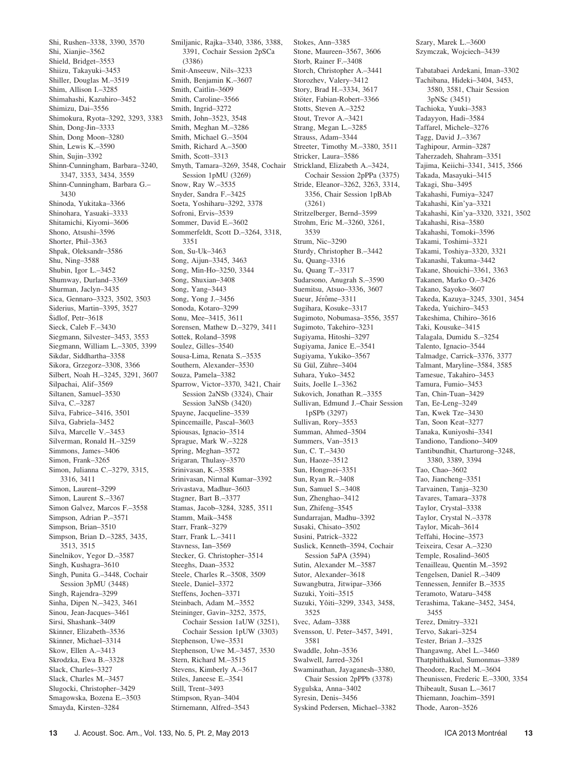Shi, Rushen–3338, 3390, 3570 Shi, Xianjie–3562 Shield, Bridget–3553 Shiizu, Takayuki–3453 Shiller, Douglas M.–3519 Shim, Allison I.–3285 Shimahashi, Kazuhiro–3452 Shimizu, Dai–3556 Shimokura, Ryota–3292, 3293, 3383 Shin, Dong-Jin–3333 Shin, Dong Moon–3280 Shin, Lewis K.–3590 Shin, Sujin–3392 Shinn-Cunningham, Barbara–3240, 3347, 3353, 3434, 3559 Shinn-Cunningham, Barbara G.– 3430 Shinoda, Yukitaka–3366 Shinohara, Yasuaki–3333 Shitamichi, Kiyomi–3606 Shono, Atsushi–3596 Shorter, Phil–3363 Shpak, Oleksandr–3586 Shu, Ning–3588 Shubin, Igor L.–3452 Shumway, Durland–3369 Shurman, Jaclyn–3435 Sica, Gennaro–3323, 3502, 3503 Siderius, Martin–3395, 3527 Šidlof, Petr-3618 Sieck, Caleb F.–3430 Siegmann, Silvester–3453, 3553 Siegmann, William L.–3305, 3399 Sikdar, Siddhartha–3358 Sikora, Grzegorz–3308, 3366 Silbert, Noah H.–3245, 3291, 3607 Silpachai, Alif–3569 Siltanen, Samuel–3530 Silva, C.–3287 Silva, Fabrice–3416, 3501 Silva, Gabriela–3452 Silva, Marcelle V.–3453 Silverman, Ronald H.–3259 Simmons, James–3406 Simon, Frank–3265 Simon, Julianna C.–3279, 3315, 3316, 3411 Simon, Laurent–3299 Simon, Laurent S.–3367 Simon Galvez, Marcos F.–3558 Simpson, Adrian P.–3571 Simpson, Brian–3510 Simpson, Brian D.–3285, 3435, 3513, 3515 Sinelnikov, Yegor D.–3587 Singh, Kushagra–3610 Singh, Punita G.–3448, Cochair Session 3pMU (3448) Singh, Rajendra–3299 Sinha, Dipen N.–3423, 3461 Sinou, Jean-Jacques–3461 Sirsi, Shashank–3409 Skinner, Elizabeth–3536 Skinner, Michael–3314 Skow, Ellen A.–3413 Skrodzka, Ewa B.–3328 Slack, Charles–3327 Slack, Charles M.–3457 Slugocki, Christopher–3429 Smagowska, Bozena E.–3503 Smayda, Kirsten–3284

Smiljanic, Rajka–3340, 3386, 3388, 3391, Cochair Session 2pSCa (3386) Smit-Anseeuw, Nils–3233 Smith, Benjamin K.–3607 Smith, Caitlin–3609 Smith, Caroline–3566 Smith, Ingrid–3272 Smith, John–3523, 3548 Smith, Meghan M.–3286 Smith, Michael G.–3504 Smith, Richard A.–3500 Smith, Scott–3313 Smyth, Tamara–3269, 3548, Cochair Session 1pMU (3269) Snow, Ray W.–3535 Snyder, Sandra F.–3425 Soeta, Yoshiharu–3292, 3378 Sofroni, Ervis–3539 Sommer, David E.–3602 Sommerfeldt, Scott D.–3264, 3318, 3351 Son, Su-Uk–3463 Song, Aijun–3345, 3463 Song, Min-Ho–3250, 3344 Song, Shuxian–3408 Song, Yang–3443 Song, Yong J.–3456 Sonoda, Kotaro–3299 Sonu, Mee–3415, 3611 Sorensen, Mathew D.–3279, 3411 Sottek, Roland–3598 Soulez, Gilles–3540 Sousa-Lima, Renata S.–3535 Southern, Alexander–3530 Souza, Pamela–3382 Sparrow, Victor–3370, 3421, Chair Session 2aNSb (3324), Chair Session 3aNSb (3420) Spayne, Jacqueline–3539 Spincemaille, Pascal–3603 Spiousas, Ignacio–3514 Sprague, Mark W.–3228 Spring, Meghan–3572 Srigaran, Thulasy–3570 Srinivasan, K.–3588 Srinivasan, Nirmal Kumar–3392 Srivastava, Madhur–3603 Stagner, Bart B.–3377 Stamas, Jacob–3284, 3285, 3511 Stamm, Maik–3458 Starr, Frank–3279 Starr, Frank L.–3411 Stavness, Ian–3569 Stecker, G. Christopher–3514 Steeghs, Daan–3532 Steele, Charles R.–3508, 3509 Steele, Daniel–3372 Steffens, Jochen–3371 Steinbach, Adam M.–3552 Steininger, Gavin–3252, 3575, Cochair Session 1aUW (3251), Cochair Session 1pUW (3303) Stephenson, Uwe–3531 Stephenson, Uwe M.–3457, 3530 Stern, Richard M.–3515 Stevens, Kimberly A.–3617 Stiles, Janeese E.–3541 Still, Trent–3493 Stimpson, Ryan–3404 Stirnemann, Alfred–3543

Stokes, Ann–3385 Stone, Maureen–3567, 3606 Storb, Rainer F.–3408 Storch, Christopher A.–3441 Storozhev, Valery–3412 Story, Brad H.–3334, 3617 Stöter, Fabian-Robert–3366 Stotts, Steven A.–3252 Stout, Trevor A.–3421 Strang, Megan L.–3285 Strauss, Adam–3344 Streeter, Timothy M.–3380, 3511 Stricker, Laura–3586 Strickland, Elizabeth A.–3424, Cochair Session 2pPPa (3375) Stride, Eleanor–3262, 3263, 3314, 3356, Chair Session 1pBAb (3261) Stritzelberger, Bernd–3599 Strohm, Eric M.–3260, 3261, 3539 Strum, Nic–3290 Sturdy, Christopher B.–3442 Su, Quang–3316 Su, Quang T.–3317 Sudarsono, Anugrah S.–3590 Suemitsu, Atsuo–3336, 3607 Sueur, Jérôme–3311 Sugihara, Kosuke–3317 Sugimoto, Nobumasa–3556, 3557 Sugimoto, Takehiro–3231 Sugiyama, Hitoshi–3297 Sugiyama, Janice E.–3541 Sugiyama, Yukiko–3567 Sü Gül, Zühre–3404 Suhara, Yuko–3452 Suits, Joelle I.–3362 Sukovich, Jonathan R.–3355 Sullivan, Edmund J.–Chair Session 1pSPb (3297) Sullivan, Rory–3553 Summan, Ahmed–3504 Summers, Van–3513 Sun, C. T.–3430 Sun, Haoze–3512 Sun, Hongmei–3351 Sun, Ryan R.–3408 Sun, Samuel S.–3408 Sun, Zhenghao–3412 Sun, Zhifeng–3545 Sundarrajan, Madhu–3392 Susaki, Chisato–3502 Susini, Patrick–3322 Suslick, Kenneth–3594, Cochair Session 5aPA (3594) Sutin, Alexander M.–3587 Sutor, Alexander–3618 Suwangbutra, Jitwipar–3366 Suzuki, Yoiti–3515 Suzuki, Yôiti-3299, 3343, 3458, 3525 Svec, Adam–3388 Svensson, U. Peter–3457, 3491, 3581 Swaddle, John–3536 Swalwell, Jarred–3261 Swaminathan, Jayaganesh–3380, Chair Session 2pPPb (3378) Sygulska, Anna–3402 Syresin, Denis–3456 Syskind Pedersen, Michael–3382

Szary, Marek L.–3600 Szymczak, Wojciech–3439 Tabatabaei Ardekani, Iman–3302 Tachibana, Hideki–3404, 3453, 3580, 3581, Chair Session 3pNSc (3451) Tachioka, Yuuki–3583 Tadayyon, Hadi–3584 Taffarel, Michele–3276 Tagg, David J.–3367 Taghipour, Armin–3287 Taherzadeh, Shahram–3351 Tajima, Keiichi–3341, 3415, 3566 Takada, Masayuki–3415 Takagi, Shu–3495 Takahashi, Fumiya–3247 Takahashi, Kin'ya–3321 Takahashi, Kin'ya–3320, 3321, 3502 Takahashi, Risa–3580 Takahashi, Tomoki–3596 Takami, Toshimi–3321 Takami, Toshiya–3320, 3321 Takanashi, Takuma–3442 Takane, Shouichi–3361, 3363 Takanen, Marko O.–3426 Takano, Sayoko–3607 Takeda, Kazuya–3245, 3301, 3454 Takeda, Yuichiro–3453 Takeshima, Chihiro–3616 Taki, Kousuke–3415 Talagala, Dumidu S.–3254 Talento, Ignacio–3544 Talmadge, Carrick–3376, 3377 Talmant, Maryline–3584, 3585 Tamesue, Takahiro–3453 Tamura, Fumio–3453 Tan, Chin-Tuan–3429 Tan, Ee-Leng–3249 Tan, Kwek Tze–3430 Tan, Soon Keat–3277 Tanaka, Kuniyoshi–3341 Tandiono, Tandiono–3409 Tantibundhit, Charturong–3248, 3380, 3389, 3394 Tao, Chao–3602 Tao, Jiancheng–3351 Tarvainen, Tanja–3230 Tavares, Tamara–3378 Taylor, Crystal–3338 Taylor, Crystal N.–3378 Taylor, Micah–3614 Teffahi, Hocine–3573 Teixeira, Cesar A.–3230 Temple, Rosalind–3605 Tenailleau, Quentin M.–3592 Tengelsen, Daniel R.–3409 Tennessen, Jennifer B.–3535 Teramoto, Wataru–3458 Terashima, Takane–3452, 3454, 3455 Terez, Dmitry–3321 Tervo, Sakari–3254 Tester, Brian J.–3325 Thangawng, Abel L.–3460 Thatphithakkul, Sumonmas–3389 Theodore, Rachel M.–3604 Theunissen, Frederic E.–3300, 3354 Thibeault, Susan L.–3617 Thiemann, Joachim–3591

Thode, Aaron–3526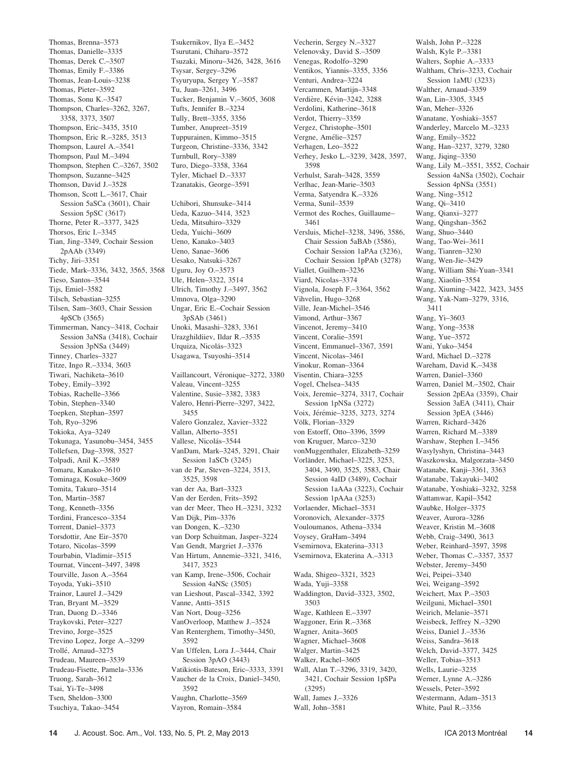Thomas, Brenna–3573 Thomas, Danielle–3335 Thomas, Derek C.–3507 Thomas, Emily F.–3386 Thomas, Jean-Louis–3238 Thomas, Pieter–3592 Thomas, Sonu K.–3547 Thompson, Charles–3262, 3267, 3358, 3373, 3507 Thompson, Eric–3435, 3510 Thompson, Eric R.–3285, 3513 Thompson, Laurel A.–3541 Thompson, Paul M.–3494 Thompson, Stephen C.–3267, 3502 Thompson, Suzanne–3425 Thomson, David J.–3528 Thomson, Scott L.–3617, Chair Session 5aSCa (3601), Chair Session 5pSC (3617) Thorne, Peter R.–3377, 3425 Thorsos, Eric I.–3345 Tian, Jing–3349, Cochair Session 2pAAb (3349) Tichy, Jiri–3351 Tiede, Mark–3336, 3432, 3565, 3568 Uguru, Joy O.–3573 Tieso, Santos–3544 Tijs, Emiel–3582 Tilsch, Sebastian–3255 Tilsen, Sam–3603, Chair Session 4pSCb (3565) Timmerman, Nancy–3418, Cochair Session 3aNSa (3418), Cochair Session 3pNSa (3449) Tinney, Charles–3327 Titze, Ingo R.–3334, 3603 Tiwari, Nachiketa–3610 Tobey, Emily–3392 Tobias, Rachelle–3366 Tobin, Stephen–3340 Toepken, Stephan–3597 Toh, Ryo–3296 Tokioka, Aya–3249 Tokunaga, Yasunobu–3454, 3455 Tollefsen, Dag–3398, 3527 Tolpadi, Anil K.–3589 Tomaru, Kanako–3610 Tominaga, Kosuke–3609 Tomita, Takuro–3514 Ton, Martin–3587 Tong, Kenneth–3356 Tordini, Francesco–3354 Torrent, Daniel–3373 Torsdottir, Ane Eir–3570 Totaro, Nicolas–3599 Tourbabin, Vladimir–3515 Tournat, Vincent–3497, 3498 Tourville, Jason A.–3564 Toyoda, Yuki–3510 Trainor, Laurel J.–3429 Tran, Bryant M.–3529 Tran, Duong D.–3346 Traykovski, Peter–3227 Trevino, Jorge–3525 Trevino Lopez, Jorge A.–3299 Trolle´, Arnaud–3275 Trudeau, Maureen–3539 Trudeau-Fisette, Pamela–3336 Truong, Sarah–3612 Tsai, Yi-Te–3498 Tsen, Sheldon–3300 Tsuchiya, Takao–3454

Tsukernikov, Ilya E.–3452 Tsurutani, Chiharu–3572 Tsuzaki, Minoru–3426, 3428, 3616 Tsysar, Sergey–3296 Tsyuryupa, Sergey Y.–3587 Tu, Juan–3261, 3496 Tucker, Benjamin V.–3605, 3608 Tufts, Jennifer B.–3234 Tully, Brett–3355, 3356 Tumber, Anupreet–3519 Tuppurainen, Kimmo–3515 Turgeon, Christine–3336, 3342 Turnbull, Rory–3389 Turo, Diego–3358, 3364 Tyler, Michael D.–3337 Tzanatakis, George–3591 Uchibori, Shunsuke–3414 Ueda, Kazuo–3414, 3523

Ueda, Mitsuhiro–3329 Ueda, Yuichi–3609 Ueno, Kanako–3403 Ueno, Sanae–3606 Uesako, Natsuki–3267 Ule, Helen–3322, 3514 Ulrich, Timothy J.–3497, 3562 Umnova, Olga–3290 Ungar, Eric E.–Cochair Session 3pSAb (3461) Unoki, Masashi–3283, 3361 Urazghildiiev, Ildar R.–3535 Urquiza, Nicolás-3323 Usagawa, Tsuyoshi–3514

Vaillancourt, Véronique-3272, 3380 Valeau, Vincent–3255 Valentine, Susie–3382, 3383 Valero, Henri-Pierre–3297, 3422, 3455 Valero Gonzalez, Xavier–3322 Vallan, Alberto–3551 Vallese, Nicolás-3544 VanDam, Mark–3245, 3291, Chair Session 1aSCb (3245) van de Par, Steven–3224, 3513, 3525, 3598 van der Aa, Bart–3323 Van der Eerden, Frits–3592 van der Meer, Theo H.–3231, 3232 Van Dijk, Pim–3376 van Dongen, K.–3230 van Dorp Schuitman, Jasper–3224 Van Gendt, Margriet J.–3376 Van Hirtum, Annemie–3321, 3416, 3417, 3523 van Kamp, Irene–3506, Cochair Session 4aNSc (3505) van Lieshout, Pascal–3342, 3392 Vanne, Antti–3515 Van Nort, Doug–3256 VanOverloop, Matthew J.–3524 Van Renterghem, Timothy–3450, 3592 Van Uffelen, Lora J.–3444, Chair Session 3pAO (3443) Vatikiotis-Bateson, Eric–3333, 3391 Vaucher de la Croix, Daniel–3450, 3592 Vaughn, Charlotte–3569 Vayron, Romain–3584

Vecherin, Sergey N.–3327 Velenovsky, David S.–3509 Venegas, Rodolfo–3290 Ventikos, Yiannis–3355, 3356 Venturi, Andrea–3224 Vercammen, Martijn–3348 Verdière, Kévin–3242, 3288 Verdolini, Katherine–3618 Verdot, Thierry–3359 Vergez, Christophe–3501 Vergne, Amélie–3257 Verhagen, Leo–3522 Verhey, Jesko L.–3239, 3428, 3597, 3598 Verhulst, Sarah–3428, 3559 Verlhac, Jean-Marie–3503 Verma, Satyendra K.–3326 Verma, Sunil–3539 Vermot des Roches, Guillaume– 3461 Versluis, Michel–3238, 3496, 3586, Chair Session 5aBAb (3586), Cochair Session 1aPAa (3236), Cochair Session 1pPAb (3278) Viallet, Guilhem–3236 Viard, Nicolas–3374 Vignola, Joseph F.–3364, 3562 Vihvelin, Hugo–3268 Ville, Jean-Michel–3546 Vimond, Arthur–3367 Vincenot, Jeremy–3410 Vincent, Coralie–3591 Vincent, Emmanuel–3367, 3591 Vincent, Nicolas–3461 Vinokur, Roman–3364 Visentin, Chiara–3255 Vogel, Chelsea–3435 Voix, Jeremie–3274, 3317, Cochair Session 1pNSa (3272) Voix, Jérémie–3235, 3273, 3274 Völk, Florian–3329 von Estorff, Otto–3396, 3599 von Kruguer, Marco–3230 vonMuggenthaler, Elizabeth–3259 Vorländer, Michael–3225, 3253. 3404, 3490, 3525, 3583, Chair Session 4aID (3489), Cochair Session 1aAAa (3223), Cochair Session 1pAAa (3253) Vorlaender, Michael–3531 Voronovich, Alexander–3375 Vouloumanos, Athena–3334 Voysey, GraHam–3494 Vsemirnova, Ekaterina–3313 Vsemirnova, Ekaterina A.–3313 Wada, Shigeo–3321, 3523 Wada, Yuji–3358 Waddington, David–3323, 3502, 3503 Wage, Kathleen E.–3397 Waggoner, Erin R.–3368 Wagner, Anita–3605 Wagner, Michael–3608 Walger, Martin–3425 Walker, Rachel–3605 Wall, Alan T.–3296, 3319, 3420, 3421, Cochair Session 1pSPa (3295) Wall, James J.–3326 Wall, John–3581

Walsh, John P.–3228 Walsh, Kyle P.–3381 Walters, Sophie A.–3333 Waltham, Chris–3233, Cochair Session 1aMU (3233) Walther, Arnaud–3359 Wan, Lin–3305, 3345 Wan, Meher–3326 Wanatane, Yoshiaki–3557 Wanderley, Marcelo M.–3233 Wang, Emily–3522 Wang, Han–3237, 3279, 3280 Wang, Jiqing–3350 Wang, Lily M.–3551, 3552, Cochair Session 4aNSa (3502), Cochair Session 4pNSa (3551) Wang, Ning–3512 Wang, Qi–3410 Wang, Qianxi–3277 Wang, Qingshan–3562 Wang, Shuo–3440 Wang, Tao-Wei–3611 Wang, Tianren–3230 Wang, Wen-Jie–3429 Wang, William Shi-Yuan–3341 Wang, Xiaolin–3554 Wang, Xiuming–3422, 3423, 3455 Wang, Yak-Nam–3279, 3316, 3411 Wang, Yi–3603 Wang, Yong–3538 Wang, Yue–3572 Wani, Yuko–3454 Ward, Michael D.–3278 Wareham, David K.–3438 Warren, Daniel–3360 Warren, Daniel M.–3502, Chair Session 2pEAa (3359), Chair Session 3aEA (3411), Chair Session 3pEA (3446) Warren, Richard–3426 Warren, Richard M.–3389 Warshaw, Stephen I.–3456 Wasylyshyn, Christina–3443 Waszkowska, Malgorzata–3450 Watanabe, Kanji–3361, 3363 Watanabe, Takayuki–3402 Watanabe, Yoshiaki–3232, 3258 Wattamwar, Kapil–3542 Waubke, Holger–3375 Weaver, Aurora–3286 Weaver, Kristin M.–3608 Webb, Craig–3490, 3613 Weber, Reinhard–3597, 3598 Weber, Thomas C.–3357, 3537 Webster, Jeremy–3450 Wei, Peipei–3340 Wei, Weigang–3592 Weichert, Max P.–3503 Weilguni, Michael–3501 Weirich, Melanie–3571 Weisbeck, Jeffrey N.–3290 Weiss, Daniel J.–3536 Weiss, Sandra–3618 Welch, David–3377, 3425 Weller, Tobias–3513 Wells, Laurie–3235 Werner, Lynne A.–3286 Wessels, Peter–3592 Westermann, Adam–3513 White, Paul R.–3356